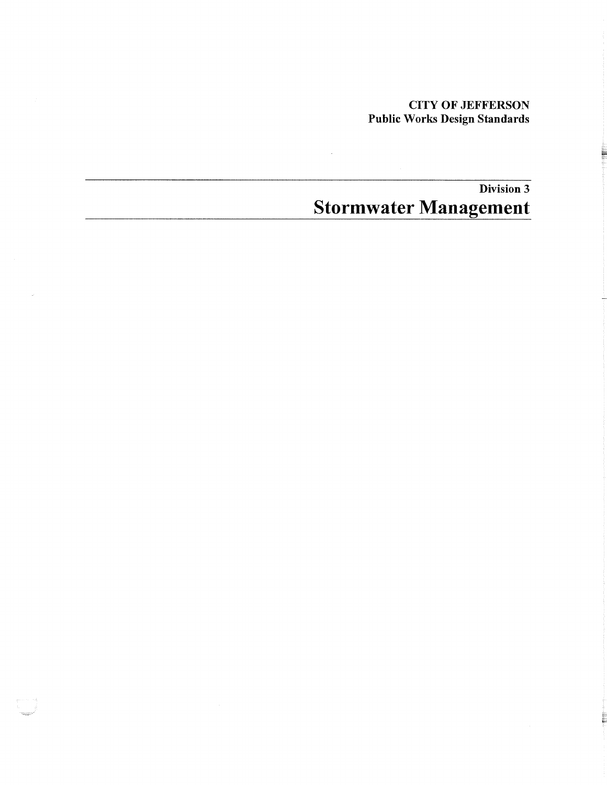# CITY OF JEFFERSON Public Works Design Standards

Division 3 **Stormwater Management** 

 $\ddot{\phantom{a}}$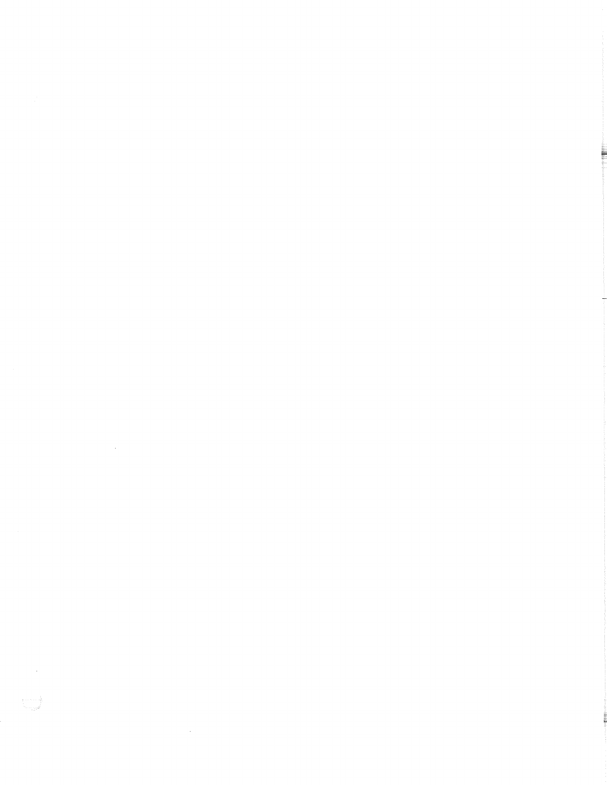$\label{eq:2.1} \frac{1}{\sqrt{2}}\int_{\mathbb{R}^3}\frac{1}{\sqrt{2}}\left(\frac{1}{\sqrt{2}}\right)^2\frac{1}{\sqrt{2}}\left(\frac{1}{\sqrt{2}}\right)^2\frac{1}{\sqrt{2}}\left(\frac{1}{\sqrt{2}}\right)^2\frac{1}{\sqrt{2}}\left(\frac{1}{\sqrt{2}}\right)^2\frac{1}{\sqrt{2}}\left(\frac{1}{\sqrt{2}}\right)^2\frac{1}{\sqrt{2}}\frac{1}{\sqrt{2}}\frac{1}{\sqrt{2}}\frac{1}{\sqrt{2}}\frac{1}{\sqrt{2}}\frac{1}{\sqrt{2}}$ 

 $\label{eq:2.1} \mathcal{L}(\mathcal{L}^{\mathcal{L}}_{\mathcal{L}}(\mathcal{L}^{\mathcal{L}}_{\mathcal{L}})) \leq \mathcal{L}(\mathcal{L}^{\mathcal{L}}_{\mathcal{L}}(\mathcal{L}^{\mathcal{L}}_{\mathcal{L}})) \leq \mathcal{L}(\mathcal{L}^{\mathcal{L}}_{\mathcal{L}}(\mathcal{L}^{\mathcal{L}}_{\mathcal{L}}))$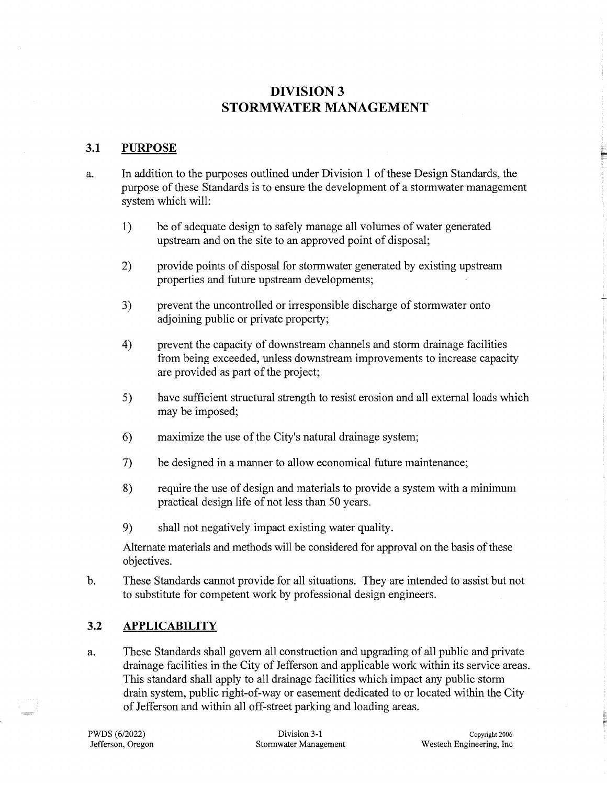# **DIVISION 3 STORMWATER MANAGEMENT**

#### **3.1 PURPOSE**

- a. In addition to the purposes outlined under Division 1 of these Design Standards, the purpose of these Standards is to ensure the development of a storm water management system which will:
	- 1) be of adequate design to safely manage all volumes of water generated upstream and on the site to an approved point of disposal;
	- 2) provide points of disposal for stormwater generated by existing upstream properties and future upstream developments;
	- 3) prevent the uncontrolled or irresponsible discharge of stormwater onto adjoining public or private property;
	- 4) prevent the capacity of downstream channels and storm drainage facilities from being exceeded, unless downstream improvements to increase capacity are provided as part of the project;
	- 5) have sufficient structural strength to resist erosion and all external loads which may be imposed;
	- 6) maximize the use of the City's natural drainage system;
	- 7) be designed in a manner to allow economical future maintenance;
	- 8) require the use of design and materials to provide a system with a minimum practical design life of not less than 50 years.
	- 9) shall not negatively impact existing water quality.

Alternate materials and methods will be considered for approval on the basis of these objectives.

b. These Standards cannot provide for all situations. They are intended to assist but not to substitute for competent work by professional design engineers.

#### 3.2 **APPLICABILITY**

a. These Standards shall govern all construction and upgrading of all public and private drainage facilities in the City of Jefferson and applicable work within its service areas. This standard shall apply to all drainage facilities which impact any public storm drain system, public right-of-way or easement dedicated to or located within the City of Jefferson and within all off-street parking and loading areas.

PWDS (6/2022) Jefferson, Oregon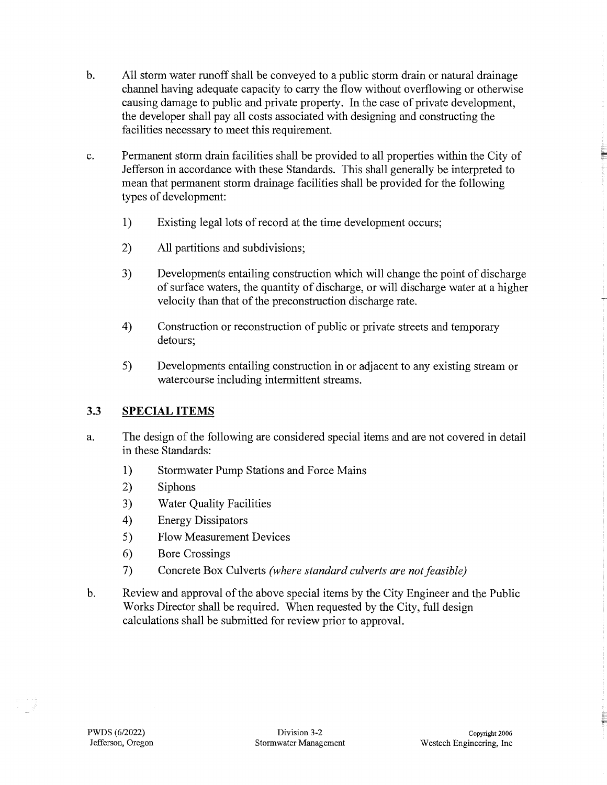- b. All storm water runoff shall be conveyed to a public storm drain or natural drainage channel having adequate capacity to carry the flow without overflowing or otherwise causing damage to public and private property. In the case of private development, the developer shall pay all costs associated with designing and constructing the facilities necessary to meet this requirement.
- c. Permanent storm drain facilities shall be provided to all properties within the City of Jefferson in accordance with these Standards. This shall generally be interpreted to mean that permanent storm drainage facilities shall be provided for the following types of development:
	- 1) Existing legal lots of record at the time development occurs;
	- 2) All partitions and subdivisions;
	- 3) Developments entailing construction which will change the point of discharge of surface waters, the quantity of discharge, or will discharge water at a higher velocity than that of the preconstruction discharge rate.
	- 4) Construction or reconstruction of public or private streets and temporary detours;
	- 5) Developments entailing construction in or adjacent to any existing stream or watercourse including intermittent streams.

# 3.3 **SPECIAL ITEMS**

- a. The design of the following are considered special items and are not covered in detail in these Standards:
	- 1) Storm water Pump Stations and Force Mains
	- 2) Siphons
	- 3) Water Quality Facilities
	- 4) Energy Dissipators
	- 5) Flow Measurement Devices
	- 6) Bore Crossings
	- 7) Concrete Box Culverts *(where standard culverts are not feasible)*
- b. Review and approval of the above special items by the City Engineer and the Public Works Director shall be required. When requested by the City, full design calculations shall be submitted for review prior to approval.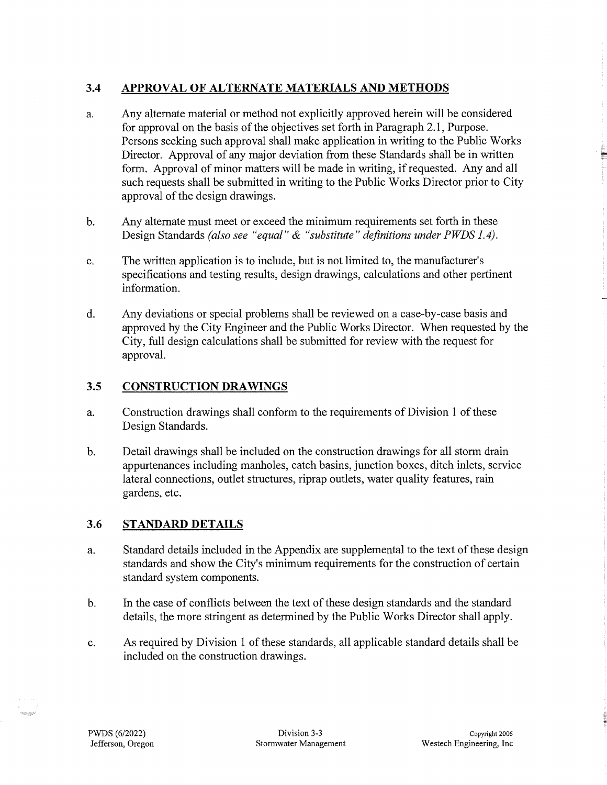# **3.4 APPROVAL OF ALTERNATE MATERIALS AND METHODS**

- a. Any alternate material or method not explicitly approved herein will be considered for approval on the basis of the objectives set forth in Paragraph 2.1, Purpose. Persons seeking such approval shall make application in writing to the Public Works Director. Approval of any major deviation from these Standards shall be in written form. Approval of minor matters will be made in writing, if requested. Any and all such requests shall be submitted in writing to the Public Works Director prior to City approval of the design drawings.
- b. Any alternate must meet or exceed the minimum requirements set forth in these Design Standards *(also see "equal"* & *"substitute" definitions under PWDS 1.4).*
- c. The written application is to include, but is not limited to, the manufacturer's specifications and testing results, design drawings, calculations and other pertinent information.
- d. Any deviations or special problems shall be reviewed on a case-by-case basis and approved by the City Engineer and the Public Works Director. When requested by the City, full design calculations shall be submitted for review with the request for approval.

#### **3.5 CONSTRUCTION DRAWINGS**

- a. Construction drawings shall conform to the requirements of Division 1 of these Design Standards.
- b. Detail drawings shall be included on the construction drawings for all storm drain appurtenances including manholes, catch basins, junction boxes, ditch inlets, service lateral connections, outlet structures, riprap outlets, water quality features, rain gardens, etc.

#### **3.6 STANDARD DETAILS**

- a. Standard details included in the Appendix are supplemental to the text of these design standards and show the City's minimum requirements for the construction of certain standard system components.
- b. In the case of conflicts between the text of these design standards and the standard details, the more stringent as determined by the Public Works Director shall apply.
- c. As required by Division 1 of these standards, all applicable standard details shall be included on the construction drawings.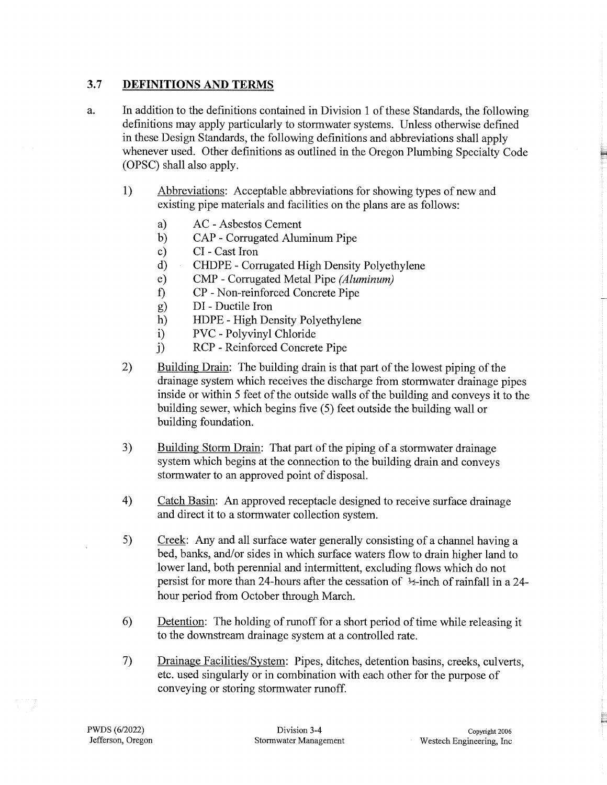# 3.7 **DEFINITIONS AND TERMS**

- a. In addition to the definitions contained in Division 1 of these Standards, the following definitions may apply particularly to stormwater systems. Unless otherwise defined in these Design Standards, the following definitions and abbreviations shall apply whenever used. Other definitions as outlined in the Oregon Plumbing Specialty Code (OPSC) shall also apply.
	- 1) Abbreviations: Acceptable abbreviations for showing types of new and existing pipe materials and facilities on the plans are as follows:
		- a) AC Asbestos Cement
		- b) CAP Corrugated Aluminum Pipe
		- c) CI Cast Iron
		- d) CHDPE Corrugated High Density Polyethylene
		- e) CMP Corrugated Metal Pipe *(Aluminum)*
		- f) CP Non-reinforced Concrete Pipe
		- g) DI Ductile Iron
		- h) HDPE High Density Polyethylene
		- i) PVC Polyvinyl Chloride
		- j) RCP Reinforced Concrete Pipe
	- 2) Building Drain: The building drain is that part of the lowest piping of the drainage system which receives the discharge from stormwater drainage pipes inside or within 5 feet of the outside walls of the building and conveys it to the building sewer, which begins five (5) feet outside the building wall or building foundation.
	- 3) Building Storm Drain: That part of the piping of a stormwater drainage system which begins at the connection to the building drain and conveys stormwater to an approved point of disposal.
	- 4) Catch Basin: An approved receptacle designed to receive surface drainage and direct it to a stormwater collection system.
	- 5) Creek: Any and all surface water generally consisting of a channel having a bed, banks, and/or sides in which surface waters flow to drain higher land to lower land, both perennial and intermittent, excluding flows which do not persist for more than 24-hours after the cessation of  $\frac{1}{2}$ -inch of rainfall in a 24hour period from October through March.
	- 6) Detention: The holding of runoff for a short period of time while releasing it to the downstream drainage system at a controlled rate.
	- 7) Drainage Facilities/System: Pipes, ditches, detention basins, creeks, culverts, etc. used singularly or in combination with each other for the purpose of conveying or storing stormwater runoff.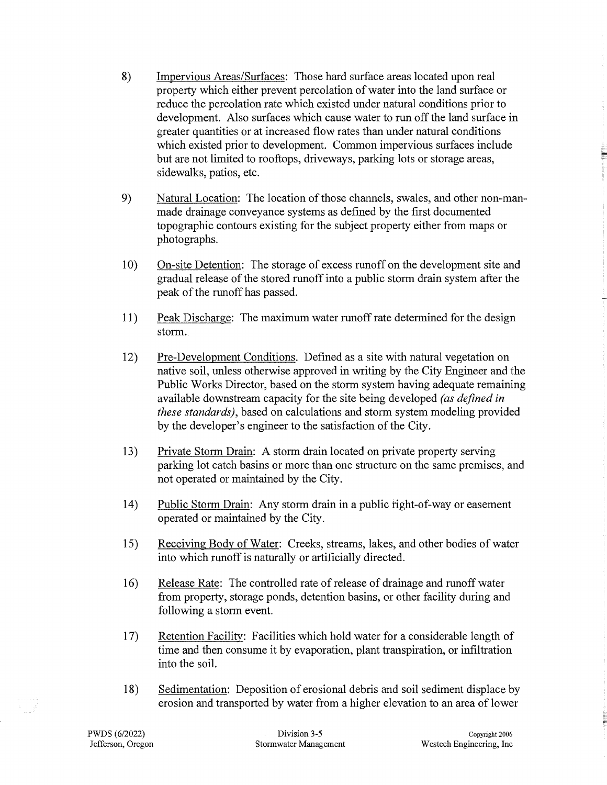- 8) Impervious Areas/Surfaces: Those hard surface areas located upon real property which either prevent percolation of water into the land surface or reduce the percolation rate which existed under natural conditions prior to development. Also surfaces which cause water to run off the land surface in greater quantities or at increased flow rates than under natural conditions which existed prior to development. Common impervious surfaces include but are not limited to rooftops, driveways, parking lots or storage areas, sidewalks, patios, etc.
- 9) Natural Location: The location of those channels, swales, and other non-manmade drainage conveyance systems as defined by the first documented topographic contours existing for the subject property either from maps or photographs.
- 10) On-site Detention: The storage of excess runoff on the development site and gradual release of the stored runoff into a public storm drain system after the peak of the runoff has passed.
- 11) Peak Discharge: The maximum water runoff rate determined for the design storm.
- 12) Pre-Development Conditions. Defined as a site with natural vegetation on native soil, unless otherwise approved in writing by the City Engineer and the Public Works Director, based on the storm system having adequate remaining available downstream capacity for the site being developed *(as defined in these standards),* based on calculations and storm system modeling provided by the developer's engineer to the satisfaction of the City.
- 13) Private Storm Drain: A storm drain located on private property serving parking lot catch basins or more than one structure on the same premises, and not operated or maintained by the City.
- 14) Public Storm Drain: Any storm drain in a public right-of-way or easement operated or maintained by the City.
- 15) Receiving Body of Water: Creeks, streams, lakes, and other bodies of water into which runoff is naturally or artificially directed.
- 16) Release Rate: The controlled rate of release of drainage and runoff water from property, storage ponds, detention basins, or other facility during and following a storm event.
- 17) Retention Facility: Facilities which hold water for a considerable length of time and then consume it by evaporation, plant transpiration, or infiltration into the soil.
- 18) Sedimentation: Deposition of erosional debris and soil sediment displace by erosion and transported by water from a higher elevation to an area of lower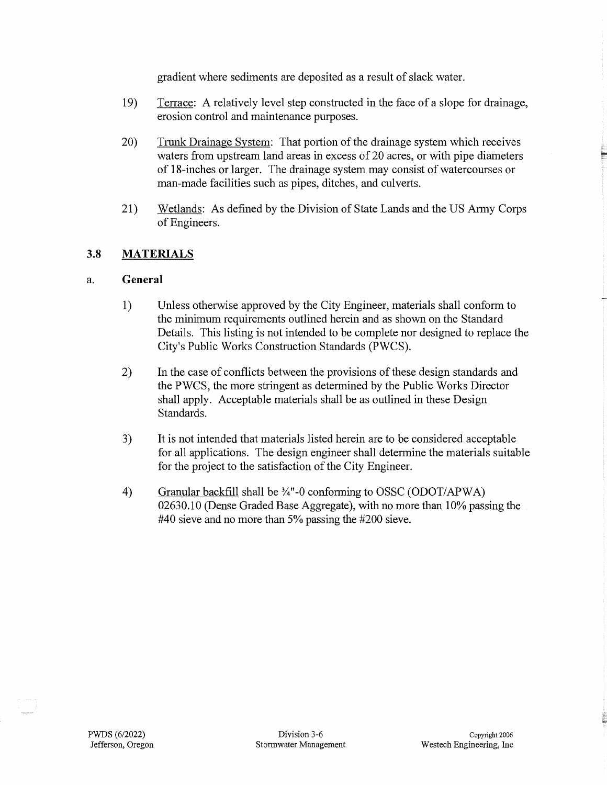gradient where sediments are deposited as a result of slack water.

- 19) Terrace: A relatively level step constructed in the face of a slope for drainage, erosion control and maintenance purposes.
- 20) Trunk Drainage System: That portion of the drainage system which receives waters from upstream land areas in excess of 20 acres, or with pipe diameters of 18-inches or larger. The drainage system may consist of watercourses or man-made facilities such as pipes, ditches, and culverts.
- 21) Wetlands: As defined by the Division of State Lands and the US Army Corps of Engineers.

# **3.8 MATERIALS**

#### a. **General**

- 1) Unless otherwise approved by the City Engineer, materials shall conform to the minimum requirements outlined herein and as shown on the Standard Details. This listing is not intended to be complete nor designed to replace the City's Public Works Construction Standards (PWCS).
- 2) In the case of conflicts between the provisions of these design standards and the PWCS, the more stringent as determined by the Public Works Director shall apply. Acceptable materials shall be as outlined in these Design Standards.
- 3) It is not intended that materials listed herein are to be considered acceptable for all applications. The design engineer shall determine the materials suitable for the project to the satisfaction of the City Engineer.
- 4) Granular backfill shall be %"-0 conforming to OSSC (ODOT/APWA) 02630.10 (Dense Graded Base Aggregate), with no more than 10% passing the #40 sieve and no more than 5% passing the #200 sieve.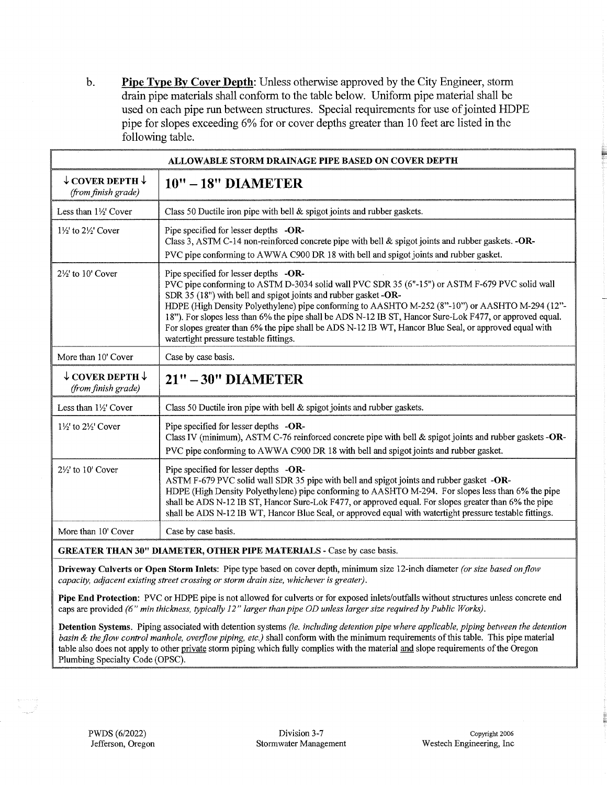**b. Pipe Type By Cover Depth:** Unless otherwise approved by the City Engineer, storm drain pipe materials shall conform to the table below. Uniform pipe material shall be used on each pipe run between structures. Special requirements for use of jointed HDPE pipe for slopes exceeding 6% for or cover depths greater than 10 feet are listed in the following table.

| <b>ALLOWABLE STORM DRAINAGE PIPE BASED ON COVER DEPTH</b>    |                                                                                                                                                                                                                                                                                                                                                                                                                                                                                                                                                                              |  |
|--------------------------------------------------------------|------------------------------------------------------------------------------------------------------------------------------------------------------------------------------------------------------------------------------------------------------------------------------------------------------------------------------------------------------------------------------------------------------------------------------------------------------------------------------------------------------------------------------------------------------------------------------|--|
| $\downarrow$ COVER DEPTH $\downarrow$<br>(from finish grade) | $10" - 18"$ DIAMETER                                                                                                                                                                                                                                                                                                                                                                                                                                                                                                                                                         |  |
| Less than $1\frac{1}{2}$ Cover                               | Class 50 Ductile iron pipe with bell & spigot joints and rubber gaskets.                                                                                                                                                                                                                                                                                                                                                                                                                                                                                                     |  |
| $1\frac{1}{2}$ to $2\frac{1}{2}$ Cover                       | Pipe specified for lesser depths -OR-<br>Class 3, ASTM C-14 non-reinforced concrete pipe with bell & spigot joints and rubber gaskets. -OR-<br>PVC pipe conforming to AWWA C900 DR 18 with bell and spigot joints and rubber gasket.                                                                                                                                                                                                                                                                                                                                         |  |
| $2\frac{1}{2}$ to 10' Cover                                  | Pipe specified for lesser depths -OR-<br>PVC pipe conforming to ASTM D-3034 solid wall PVC SDR 35 (6"-15") or ASTM F-679 PVC solid wall<br>SDR 35 (18") with bell and spigot joints and rubber gasket -OR-<br>HDPE (High Density Polyethylene) pipe conforming to AASHTO M-252 (8"-10") or AASHTO M-294 (12"-<br>18"). For slopes less than 6% the pipe shall be ADS N-12 IB ST, Hancor Sure-Lok F477, or approved equal.<br>For slopes greater than 6% the pipe shall be ADS N-12 IB WT, Hancor Blue Seal, or approved equal with<br>watertight pressure testable fittings. |  |
| More than 10' Cover                                          | Case by case basis.                                                                                                                                                                                                                                                                                                                                                                                                                                                                                                                                                          |  |
| $\downarrow$ COVER DEPTH $\downarrow$<br>(from finish grade) | $21" - 30"$ DIAMETER                                                                                                                                                                                                                                                                                                                                                                                                                                                                                                                                                         |  |
| Less than 11/2' Cover                                        | Class 50 Ductile iron pipe with bell & spigot joints and rubber gaskets.                                                                                                                                                                                                                                                                                                                                                                                                                                                                                                     |  |
| $1\frac{1}{2}$ to $2\frac{1}{2}$ Cover                       | Pipe specified for lesser depths -OR-<br>Class IV (minimum), ASTM C-76 reinforced concrete pipe with bell & spigot joints and rubber gaskets -OR-<br>PVC pipe conforming to AWWA C900 DR 18 with bell and spigot joints and rubber gasket.                                                                                                                                                                                                                                                                                                                                   |  |
| $2\frac{1}{2}$ to 10' Cover                                  | Pipe specified for lesser depths -OR-<br>ASTM F-679 PVC solid wall SDR 35 pipe with bell and spigot joints and rubber gasket -OR-<br>HDPE (High Density Polyethylene) pipe conforming to AASHTO M-294. For slopes less than 6% the pipe<br>shall be ADS N-12 IB ST, Hancor Sure-Lok F477, or approved equal. For slopes greater than 6% the pipe<br>shall be ADS N-12 IB WT, Hancor Blue Seal, or approved equal with watertight pressure testable fittings.                                                                                                                 |  |
| More than 10' Cover                                          | Case by case basis.                                                                                                                                                                                                                                                                                                                                                                                                                                                                                                                                                          |  |

**GREATER THAN 30" DIAMETER, OTHER PIPE MATERIALS - Case by case basis.** 

**Driveway Culverts or Open Storm Inlets:** Pipe type based on cover depth, minimum size 12-inch diameter *(or size based on flow capacity, adjacent existing street crossing or storm drain size, whichever is greater).* 

**Pipe End Protection:** PVC or HDPE pipe is not allowed for culverts or for exposed inlets/outfalls without structures unless concrete end caps are provided *(6" min thickness, typically 12" larger than pipe OD unless larger size required by Public Works).* 

**Detention** Systems. Piping associated with detention systems *(ie. including detention pipe where applicable, piping between the detention basin & the flow control manhole, overflow piping, etc.)* shall conform with the minimum requirements of this table. This pipe material table also does not apply to other private storm piping which fully complies with the material and slope requirements of the Oregon Plumbing Specialty Code (OPSC).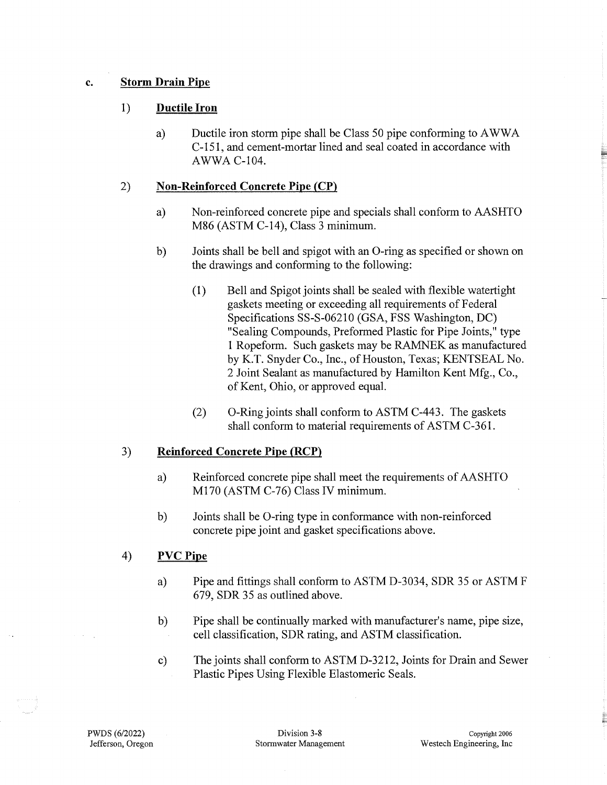#### **c. Storm Drain Pipe**

#### **1) Ductile Iron**

a) Ductile iron storm pipe shall be Class 50 pipe conforming to AWWA C-151, and cement-mortar lined and seal coated in accordance with AWWAC-104.

#### 2) **Non-Reinforced Concrete Pipe (CP)**

- a) Non-reinforced concrete pipe and specials shall conform to AASHTO M86 (ASTM C-14), Class 3 minimum.
- b) Joints shall be bell and spigot with an 0-ring as specified or shown on the drawings and conforming to the following:
	- (1) Bell and Spigot joints shall be sealed with flexible watertight gaskets meeting or exceeding all requirements of Federal Specifications SS-S-06210 (GSA, FSS Washington, DC) "Sealing Compounds, Preformed Plastic for Pipe Joints," type 1 Ropeform. Such gaskets may be RAMNEK as manufactured by K.T. Snyder Co., Inc., of Houston, Texas; KENTSEAL No. 2 Joint Sealant as manufactured by Hamilton Kent Mfg., Co., of Kent, Ohio, or approved equal.
	- (2) 0-Ringjoints shall conform to ASTM C-443. The gaskets shall conform to material requirements of ASTM C-361.

#### 3) **Reinforced Concrete Pipe (RCP)**

- a) Reinforced concrete pipe shall meet the requirements of AASHTO Ml 70 (ASTM C-76) Class IV minimum.
- b) Joints shall be 0-ring type in conformance with non-reinforced concrete pipe joint and gasket specifications above.

# 4) **PVC Pipe**

- a) Pipe and fittings shall conform to ASTM D-3034, SDR 35 or ASTM F 679, SDR 35 as outlined above.
- b) Pipe shall be continually marked with manufacturer's name, pipe size, cell classification, SDR rating, and ASTM classification.
- c) The joints shall conform to ASTM D-3212, Joints for Drain and Sewer Plastic Pipes Using Flexible Elastomeric Seals.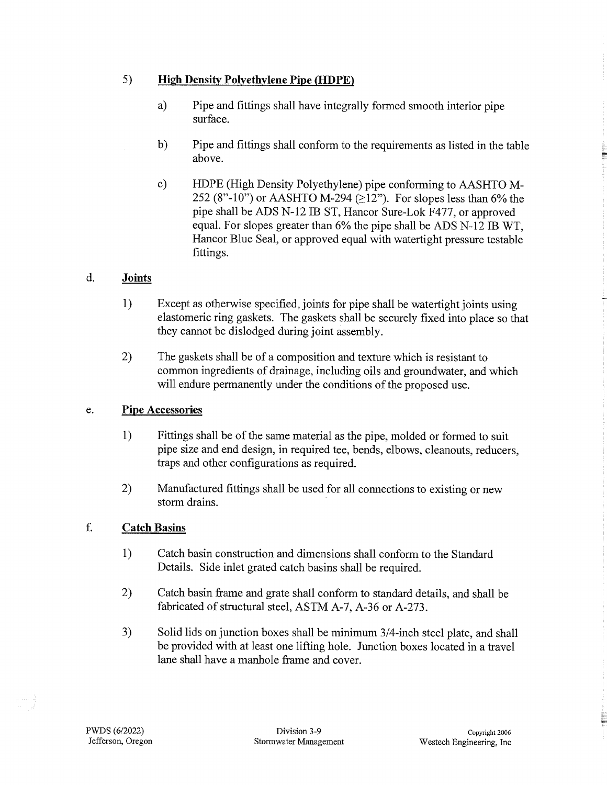## 5) **High Density Polyethylene Pipe ffiDPE)**

- a) Pipe and fittings shall have integrally formed smooth interior pipe surface.
- b) Pipe and fittings shall conform to the requirements as listed in the table above.
- c) HDPE (High Density Polyethylene) pipe conforming to AASHTO M-252 (8"-10") or AASHTO M-294 ( $\geq$ 12"). For slopes less than 6% the <sup>p</sup>ipe shall be ADS N-12 IB ST, Rancor Sure-Lok F477, or approved equal. For slopes greater than 6% the pipe shall be ADS N-12 IB WT, Hancor Blue Seal, or approved equal with watertight pressure testable fittings.

#### d. **Joints**

- 1) Except as otherwise specified, joints for pipe shall be watertight joints using elastomeric ring gaskets. The gaskets shall be securely fixed into place so that they cannot be dislodged during joint assembly.
- 2) The gaskets shall be of a composition and texture which is resistant to common ingredients of drainage, including oils and groundwater, and which will endure permanently under the conditions of the proposed use.

#### e. **Pipe Accessories**

- 1) Fittings shall be of the same material as the pipe, molded or formed to suit pipe size and end design, in required tee, bends, elbows, cleanouts, reducers, traps and other configurations as required.
- 2) Manufactured fittings shall be used for all connections to existing or new storm drains.

# f. **Catch Basins**

- 1) Catch basin construction and dimensions shall conform to the Standard Details. Side inlet grated catch basins shall be required.
- 2) Catch basin frame and grate shall conform to standard details, and shall be fabricated of structural steel, ASTM A-7, A-36 or A-273.
- 3) Solid lids on junction boxes shall be minimum 3/4-inch steel plate, and shall be provided with at least one lifting hole. Junction boxes located in a travel lane shall have a manhole frame and cover.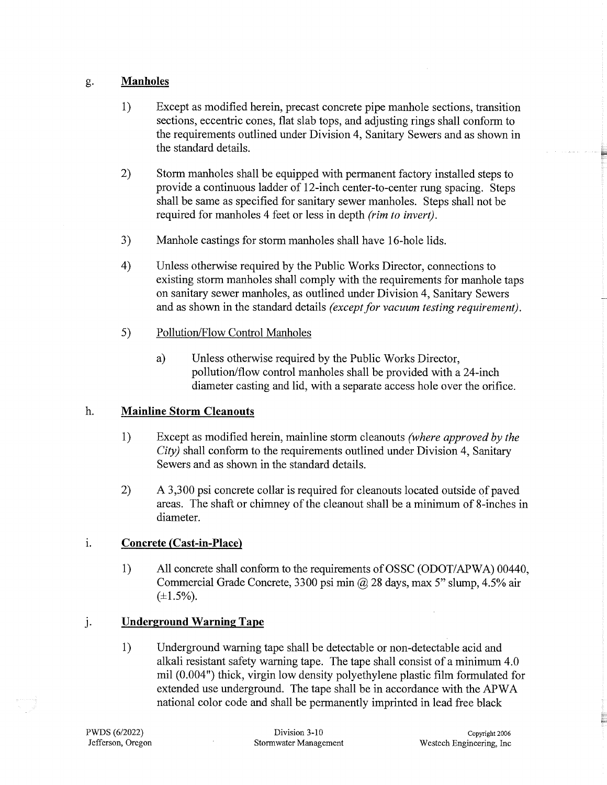#### g. **Manholes**

- 1) Except as modified herein, precast concrete pipe manhole sections, transition sections, eccentric cones, flat slab tops, and adjusting rings shall conform to the requirements outlined under Division 4, Sanitary Sewers and as shown in the standard details.
- 2) Storm manholes shall be equipped with permanent factory installed steps to provide a continuous ladder of 12-inch center-to-center rung spacing. Steps shall be same as specified for sanitary sewer manholes. Steps shall not be required for manholes 4 feet or less in depth *(rim to invert).*
- 3) Manhole castings for storm manholes shall have 16-hole lids.
- 4) Unless otherwise required by the Public Works Director, connections to existing storm manholes shall comply with the requirements for manhole taps on sanitary sewer manholes, as outlined under Division 4, Sanitary Sewers and as shown in the standard details *(except for vacuum testing requirement).*
- 5) Pollution/Flow Control Manholes
	- a) Unless otherwise required by the Public Works Director, pollution/flow control manholes shall be provided with a 24-inch diameter casting and lid, with a separate access hole over the orifice.

#### h. **Mainline Storm Cleanouts**

- 1) Except as modified herein, mainline storm cleanouts *(where approved by the City)* shall conform to the requirements outlined under Division 4, Sanitary Sewers and as shown in the standard details.
- 2) A 3,300 psi concrete collar is required for cleanouts located outside of paved areas. The shaft or chimney of the cleanout shall be a minimum of 8-inches in diameter.

# i. **Concrete (Cast-in-Place)**

1) All concrete shall conform to the requirements of OSSC (ODOT/APWA) 00440, Commercial Grade Concrete, 3300 psi min  $(a)$  28 days, max 5" slump, 4.5% air  $(\pm 1.5\%)$ .

# J. **Underground Warning Tape**

1) Underground warning tape shall be detectable or non-detectable acid and alkali resistant safety warning tape. The tape shall consist of a minimum 4.0 mil (0.004") thick, virgin low density polyethylene plastic film formulated for extended use underground. The tape shall be in accordance with the APW A national color code and shall be permanently imprinted in lead free black

⊨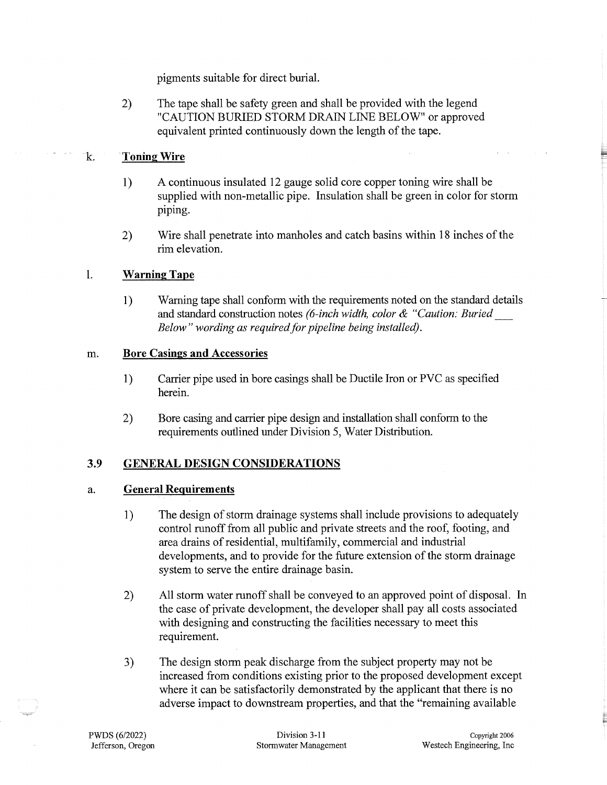pigments suitable for direct burial.

2) The tape shall be safety green and shall be provided with the legend "CAUTION BURIED STORM DRAIN LINE BELOW" or approved equivalent printed continuously down the length of the tape.

#### k. **·Toning Wire**

- 1) A continuous insulated 12 gauge solid core copper toning wire shall be supplied with non-metallic pipe. Insulation shall be green in color for storm piping.
- 2) Wire shall penetrate into manholes and catch basins within 18 inches of the rim elevation.

#### 1. **Warning Tape**

1) Warning tape shall conform with the requirements noted on the standard details and standard construction notes *(6-inch width, color* & *"Caution: Buried Below" wording as required for pipeline being installed).* 

#### m. **Bore Casings and Accessories**

- 1) Carrier pipe used in bore casings shall be Ductile Iron or PVC as specified herein.
- 2) Bore casing and carrier pipe design and installation shall conform to the requirements outlined under Division 5, Water Distribution.

# **3.9 GENERAL DESIGN CONSIDERATIONS**

#### a. **General Requirements**

- 1) The design of storm drainage systems shall include provisions to adequately control runoff from all public and private streets and the roof, footing, and area drains of residential, multifamily, commercial and industrial developments, and to provide for the future extension of the storm drainage system to serve the entire drainage basin.
- 2) All storm water runoff shall be conveyed to an approved point of disposal. In the case of private development, the developer shall pay all costs associated with designing and constructing the facilities necessary to meet this requirement.
- 3) The design storm peak discharge from the subject property may not be increased from conditions existing prior to the proposed development except where it can be satisfactorily demonstrated by the applicant that there is no adverse impact to downstream properties, and that the "remaining available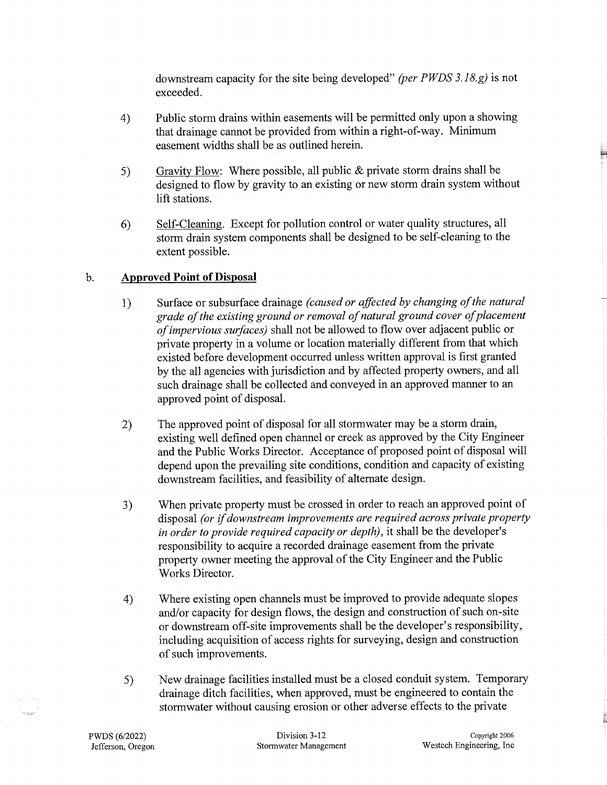downstream capacity for the site being developed" *(per PWDS 3.18.g)* is not exceeded.

- 4) Public storm drains within easements will be permitted only upon a showing that drainage cannot be provided from within a right-of-way. Minimum easement widths shall be as outlined herein.
- 5) Gravity Flow: Where possible, all public & private storm drains shall be designed to flow by gravity to an existing or new storm drain system without lift stations.
- 6) Self-Cleaning. Except for pollution control or water quality structures, all storm drain system components shall be designed to be self-cleaning to the extent possible.

#### b. **Approved Point of Disposal**

- 1) Surface or subsurface drainage *(caused or affected by changing of the natural grade of the existing ground or removal of natural ground cover of placement of impervious surfaces)* shall not be allowed to flow over adjacent public or private property in a volume or location materially different from that which existed before development occurred unless written approval is first granted by the all agencies with jurisdiction and by affected property owners, and all such drainage shall be collected and conveyed in an approved manner to an approved point of disposal.
- 2) The approved point of disposal for all stormwater may be a storm drain, existing well defined open channel or creek as approved by the City Engineer and the Public Works Director. Acceptance of proposed point of disposal will depend upon the prevailing site conditions, condition and capacity of existing downstream facilities, and feasibility of alternate design.
- 3) When private property must be crossed in order to reach an approved point of disposal *(or* if *downstream improvements are required across private property in order to provide required capacity or depth),* it shall be the developer's responsibility to acquire a recorded drainage easement from the private property owner meeting the approval of the City Engineer and the Public Works Director.
- 4) Where existing open channels must be improved to provide adequate slopes and/or capacity for design flows, the design and construction of such on-site or downstream off-site improvements shall be the developer's responsibility, including acquisition of access rights for surveying, design and construction of such improvements.
- 5) New drainage facilities installed must be a closed conduit system. Temporary drainage ditch facilities, when approved, must be engineered to contain the stormwater without causing erosion or other adverse effects to the private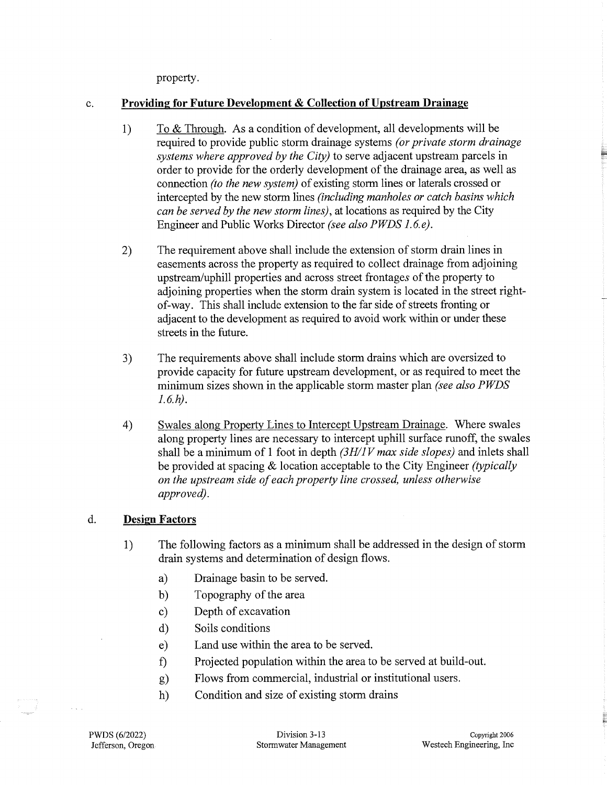property.

#### c. **Providing for Future Development & Collection of Upstream Drainage**

- 1) To  $&$  Through. As a condition of development, all developments will be required to provide public storm drainage systems *(or private storm drainage systems where approved by the City)* to serve adjacent upstream parcels in order to provide for the orderly development of the drainage area, as well as connection *(to the new system)* of existing storm lines or laterals crossed or intercepted by the new storm lines *(including manholes or catch basins which can be served by the new storm lines),* at locations as required by the City Engineer and Public Works Director *(see also PWDS 1.6.e).*
- 2) The requirement above shall include the extension of storm drain lines in easements across the property as required to collect drainage from adjoining upstream/uphill properties and across street frontages of the property to adjoining properties when the storm drain system is located in the street rightof-way. This shall include extension to the far side of streets fronting or adjacent to the development as required to avoid work within or under these streets in the future.
- 3) The requirements above shall include storm drains which are oversized to provide capacity for future upstream development, or as required to meet the minimum sizes shown in the applicable storm master plan *(see also PWDS 1.6.h).*
- 4) Swales along Property Lines to Intercept Upstream Drainage. Where swales along property lines are necessary to intercept uphill surface runoff, the swales shall be a minimum of 1 foot in depth (3H/IV max side slopes) and inlets shall be provided at spacing & location acceptable to the City Engineer *(typically on the upstream side of each property line crossed, unless otherwise approved).*

#### d. **Design Factors**

- 1) The following factors as a minimum shall be addressed in the design of storm drain systems and determination of design flows.
	- a) Drainage basin to be served.
	- b) Topography of the area
	- c) Depth of excavation
	- d) Soils conditions
	- e) Land use within the area to be served.
	- t) Projected population within the area to be served at build-out.
	- g) Flows from commercial, industrial or institutional users.
	- h) Condition and size of existing storm drains

 $\sim$   $\sim$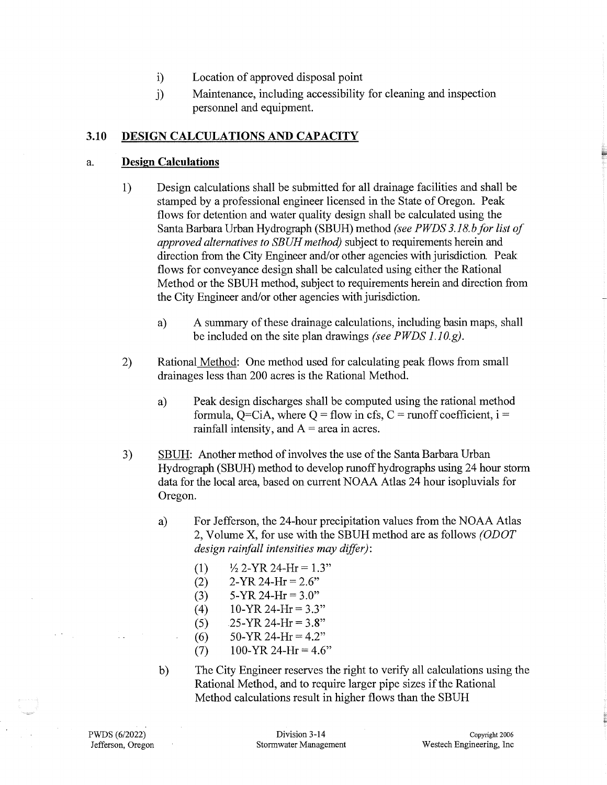- i) Location of approved disposal point
- j) Maintenance, including accessibility for cleaning and inspection personnel and equipment.

#### **3.10 DESIGN CALCULATIONS AND CAPACITY**

#### a. **Design Calculations**

- 1) Design calculations shall be submitted for all drainage facilities and shall be stamped by a professional engineer licensed in the State of Oregon. Peak flows for detention and water quality design shall be calculated using the Santa Barbara Urban Hydrograph *(SBUH)* method *(see PWDS 3.18.b for list of approved alternatives to SBUH method)* subject to requirements herein and direction from the City Engineer and/or other agencies with jurisdiction. Peak flows for conveyance design shall be calculated using either the Rational Method or the SBUH method, subject to requirements herein and direction from the City Engineer and/or other agencies with jurisdiction.
	- a) A summary of these drainage calculations, including basin maps, shall be included on the site plan drawings *(see PWDS 1.10.g).*
- 2) Rational Method: One method used for calculating peak flows from small drainages less than 200 acres is the Rational Method.
	- a) Peak design discharges shall be computed using the rational method formula, Q=CiA, where Q = flow in cfs, C = runoff coefficient,  $i =$ rainfall intensity, and  $A = \text{area}$  in acres.
- 3) SBUH: Another method of involves the use of the Santa Barbara Urban Hydrograph (SBUH) method to develop runoff hydrographs using 24 hour storm data for the local area, based on current NOAA Atlas 24 hour isopluvials for Oregon.
	- a) For Jefferson, the 24-hour precipitation values from the NOAA Atlas 2, Volume X, for use with the SBUH method are as follows *(ODOT design rainfall intensities may differ):* 
		- $(1)$   $\frac{1}{2}$  2-YR 24-Hr = 1.3"
		- $(2)$  2-YR 24-Hr = 2.6"
		- $(3)$  5-YR 24-Hr = 3.0"
		- $(4)$  10-YR 24-Hr = 3.3"
		- $(5)$  25-YR 24-Hr = 3.8"
		- (6)  $50-YR$  24-Hr = 4.2"
		- $(7)$  100-YR 24-Hr = 4.6"
	- b) The City Engineer reserves the right to verify all calculations using the Rational Method, and to require larger pipe sizes if the Rational Method calculations result in higher flows than the SBUH

PWDS (6/2022) Jefferson, Oregon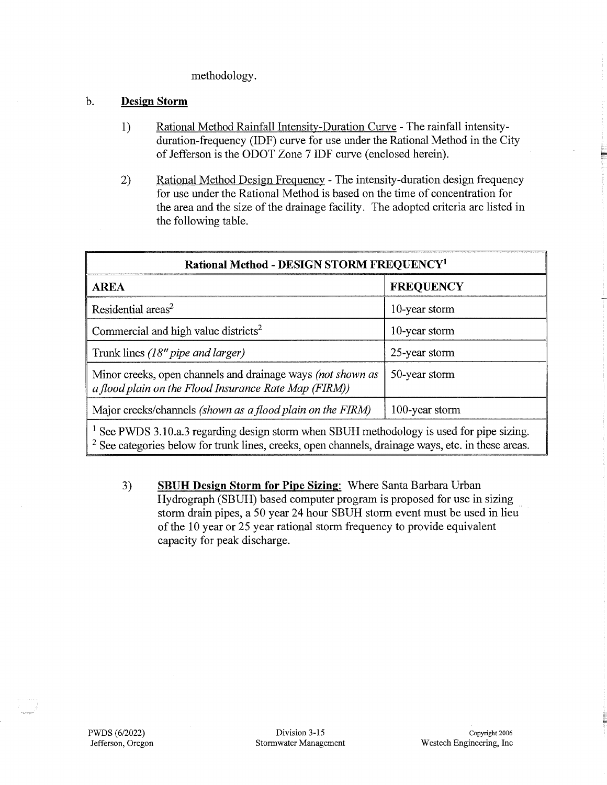#### methodology.

#### b. **Design Storm**

- 1) Rational Method Rainfall Intensity-Duration Curve The rainfall intensityduration-frequency (IDF) curve for use under the Rational Method in the City of Jefferson is the ODOT Zone 7 IDF curve (enclosed herein).
- 2) Rational Method Design Frequency The intensity-duration design frequency for use under the Rational Method is based on the time of concentration for the area and the size of the drainage facility. The adopted criteria are listed in the following table.

| Rational Method - DESIGN STORM FREQUENCY <sup>1</sup>                                                                |                  |  |
|----------------------------------------------------------------------------------------------------------------------|------------------|--|
| <b>AREA</b>                                                                                                          | <b>FREQUENCY</b> |  |
| Residential areas <sup>2</sup>                                                                                       | 10-year storm    |  |
| Commercial and high value districts <sup>2</sup>                                                                     | 10-year storm    |  |
| Trunk lines (18" pipe and larger)                                                                                    | 25-year storm    |  |
| Minor creeks, open channels and drainage ways (not shown as<br>a flood plain on the Flood Insurance Rate Map (FIRM)) | 50-year storm    |  |
| Major creeks/channels (shown as a flood plain on the FIRM)                                                           | 100-year storm   |  |

 $1$  See PWDS 3.10.a.3 regarding design storm when SBUH methodology is used for pipe sizing. <sup>2</sup> See categories below for trunk lines, creeks, open channels, drainage ways, etc. in these areas.

3) **SBUH Design Storm for Pipe Sizing:** Where Santa Barbara Urban Hydrograph (SBUH) based computer program is proposed for use in sizing storm drain pipes, a 50 year 24 hour SBUH storm event must be used in lieu of the 10 year or 25 year rational storm frequency to provide equivalent capacity for peak discharge.

È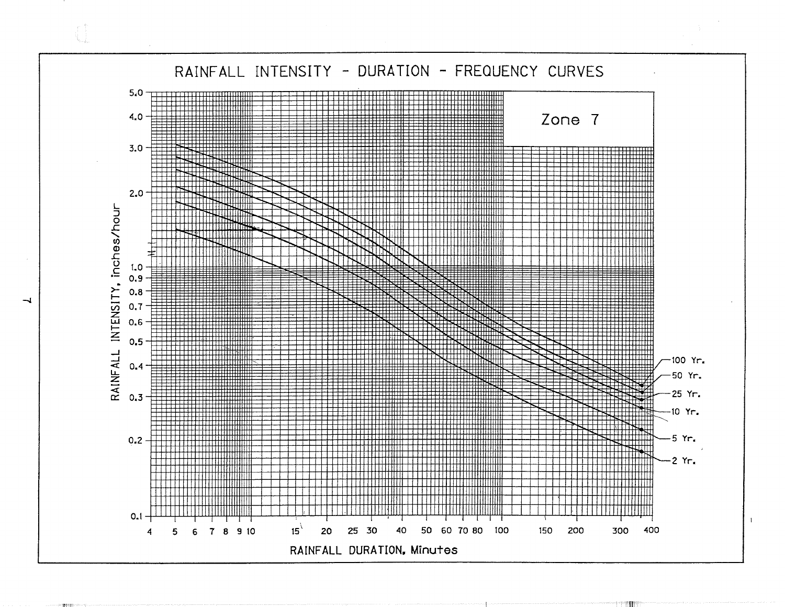

lfTIF !'Ill!

~I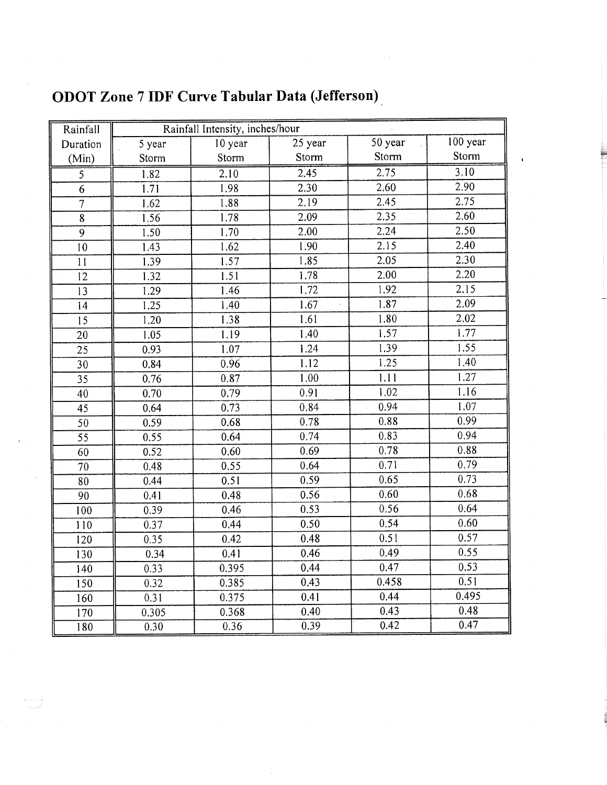| Rainfall        | Rainfall Intensity, inches/hour |         |         |         |          |
|-----------------|---------------------------------|---------|---------|---------|----------|
| Duration        | 5 year                          | 10 year | 25 year | 50 year | 100 year |
| (Min)           | Storm                           | Storm   | Storm   | Storm   | Storm    |
| 5               | 1,82                            | 2,10    | 2.45    | 2.75    | 3,10     |
| $\overline{6}$  | 1.71                            | 1.98    | 2.30    | 2.60    | 2,90     |
| $\overline{7}$  | 1.62                            | 1,88    | 2.19    | 2.45    | 2.75     |
| $\overline{8}$  | 1.56                            | 1.78    | 2.09    | 2.35    | 2.60     |
| $\overline{9}$  | 1,50                            | 1.70    | 2.00    | 2.24    | 2.50     |
| 10              | 1.43                            | 1,62    | 1.90    | 2.15    | 2.40     |
| 11              | 1.39                            | 1.57    | 1.85    | 2.05    | 2.30     |
| 12              | 1.32                            | 1.51    | 1.78    | 2,00    | 2.20     |
| 13              | 1.29                            | 1.46    | 1,72    | 1.92    | 2.15     |
| 14              | 1.25                            | 1.40    | 1.67    | 1.87    | 2.09     |
| $\overline{15}$ | 1,20                            | 1,38    | 1.61    | 1.80    | 2.02     |
| 20              | 1.05                            | 1.19    | 1.40    | 1.57    | 1.77     |
| $\overline{25}$ | 0.93                            | 1.07    | 1.24    | 1.39    | 1.55     |
| 30              | 0,84                            | 0.96    | 1.12    | 1.25    | 1.40     |
| 35              | 0.76                            | 0.87    | 1,00    | 1.11    | 1.27     |
| 40              | 0.70                            | 0.79    | 0.91    | 1,02    | 1.16     |
| 45              | 0.64                            | 0.73    | 0.84    | 0.94    | 1.07     |
| 50              | 0.59                            | 0.68    | 0.78    | 0.88    | 0.99     |
| $\overline{55}$ | 0.55                            | 0.64    | 0.74    | 0.83    | 0.94     |
| 60              | 0.52                            | 0,60    | 0.69    | 0.78    | 0,88     |
| 70              | 0.48                            | 0.55    | 0.64    | 0,71    | 0.79     |
| 80              | 0,44                            | 0.51    | 0.59    | 0.65    | 0.73     |
| 90              | 0.41                            | 0.48    | 0.56    | 0.60    | 0.68     |
| 100             | 0.39                            | 0.46    | 0.53    | 0,56    | 0.64     |
| 110             | 0.37                            | 0.44    | 0.50    | 0,54    | 0.60     |
| 120             | 0.35                            | 0.42    | 0,48    | 0.51    | 0.57     |
| 130             | 0.34                            | 0.41    | 0.46    | 0,49    | 0.55     |
| 140             | 0.33                            | 0.395   | 0.44    | 0.47    | 0.53     |
| 150             | 0.32                            | 0.385   | 0.43    | 0.458   | 0.51     |
| 160             | 0.31                            | 0.375   | 0.41    | 0.44    | 0.495    |
| 170             | 0.305                           | 0.368   | 0.40    | 0.43    | 0.48     |
| 180             | 0.30                            | 0.36    | 0.39    | 0.42    | 0.47     |

# **ODOT Zone 7 IDF Curve Tabular Data (Jefferson)**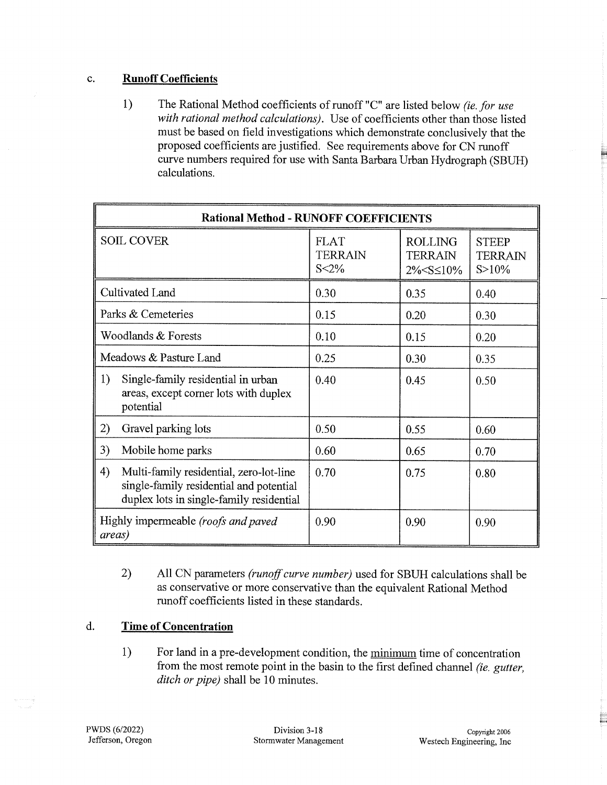#### c. **Runoff Coefficients**

1) The Rational Method coefficients of runoff "C" are listed below *(ie. for use with rational method calculations).* Use of coefficients other than those listed must be based on field investigations which demonstrate conclusively that the proposed coefficients are justified. See requirements above for CN runoff curve numbers required for use with Santa Barbara Urban Hydrograph (SBUH) calculations.

| <b>Rational Method - RUNOFF COEFFICIENTS</b>                                                                                         |                                            |                                                                                                                                     |                                              |
|--------------------------------------------------------------------------------------------------------------------------------------|--------------------------------------------|-------------------------------------------------------------------------------------------------------------------------------------|----------------------------------------------|
| <b>SOIL COVER</b>                                                                                                                    | <b>FLAT</b><br><b>TERRAIN</b><br>$S < 2\%$ | <b>ROLLING</b><br><b>TERRAIN</b><br>2% <s≤10%< td=""><td><b>STEEP</b><br/><b>TERRAIN</b><br/><math>S &gt; 10\%</math></td></s≤10%<> | <b>STEEP</b><br><b>TERRAIN</b><br>$S > 10\%$ |
| Cultivated Land                                                                                                                      | 0.30                                       | 0.35                                                                                                                                | 0.40                                         |
| Parks & Cemeteries                                                                                                                   | 0.15                                       | 0.20                                                                                                                                | 0.30                                         |
| Woodlands & Forests                                                                                                                  | 0.10                                       | 0.15                                                                                                                                | 0.20                                         |
| Meadows & Pasture Land                                                                                                               | 0.25                                       | 0.30                                                                                                                                | 0.35                                         |
| 1)<br>Single-family residential in urban<br>areas, except corner lots with duplex<br>potential                                       | 0.40                                       | 0.45                                                                                                                                | 0.50                                         |
| 2)<br>Gravel parking lots                                                                                                            | 0.50                                       | 0.55                                                                                                                                | 0.60                                         |
| 3)<br>Mobile home parks                                                                                                              | 0.60                                       | 0.65                                                                                                                                | 0.70                                         |
| 4)<br>Multi-family residential, zero-lot-line<br>single-family residential and potential<br>duplex lots in single-family residential | 0.70                                       | 0.75                                                                                                                                | 0.80                                         |
| Highly impermeable (roofs and paved<br>areas)                                                                                        | 0.90                                       | 0.90                                                                                                                                | 0.90                                         |

2) All CN parameters *(runoff curve number)* used for SBUH calculations shall be as conservative or more conservative than the equivalent Rational Method runoff coefficients listed in these standards.

# d. **Time of Concentration**

1) For land in a pre-development condition, the minimum time of concentration from the most remote point in the basin to the first defined channel *(ie. gutter, ditch or pipe)* shall be 10 minutes.

È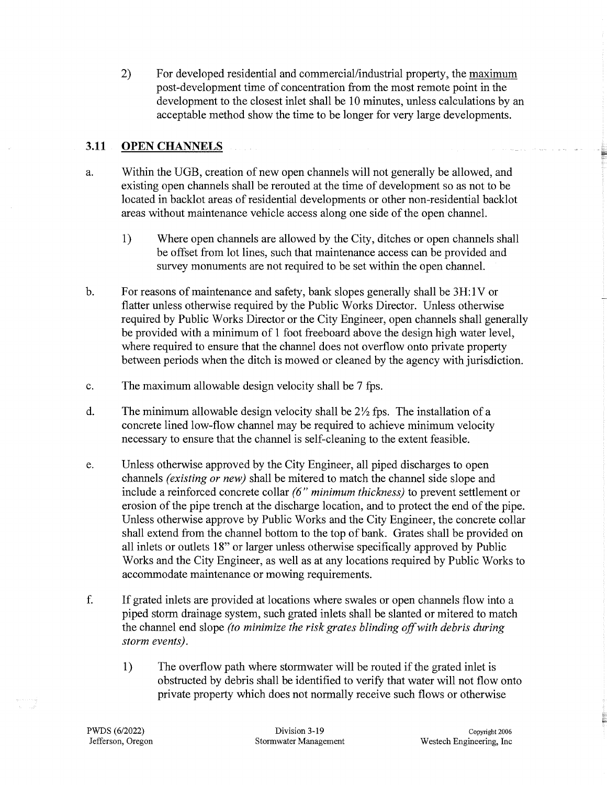2) For developed residential and commercial/industrial property, the maximum post-development time of concentration from the most remote point in the development to the closest inlet shall be 10 minutes, unless calculations by an acceptable method show the time to be longer for very large developments.

# **3.11 OPEN CHANNELS**

- a. Within the UGB, creation of new open channels will not generally be allowed, and existing open channels shall be rerouted at the time of development so as not to be located in backlot areas of residential developments or other non-residential backlot areas without maintenance vehicle access along one side of the open channel.
	- 1) Where open channels are allowed by the City, ditches or open channels shall be offset from lot lines, such that maintenance access can be provided and survey monuments are not required to be set within the open channel.
- b. For reasons of maintenance and safety, bank slopes generally shall be 3H:1V or flatter unless otherwise required by the Public Works Director. Unless otherwise required by Public Works Director or the City Engineer, open channels shall generally be provided with a minimum of 1 foot freeboard above the design high water level, where required to ensure that the channel does not overflow onto private property between periods when the ditch is mowed or cleaned by the agency with jurisdiction.
- c. The maximum allowable design velocity shall be 7 fps.
- d. The minimum allowable design velocity shall be  $2\frac{1}{2}$  fps. The installation of a concrete lined low-flow channel may be required to achieve minimum velocity necessary to ensure that the channel is self-cleaning to the extent feasible.
- e. Unless otherwise approved by the City Engineer, all piped discharges to open channels *(existing or new)* shall be mitered to match the channel side slope and include a reinforced concrete collar *(6" minimum thickness)* to prevent settlement or erosion of the pipe trench at the discharge location, and to protect the end of the pipe. Unless otherwise approve by Public Works and the City Engineer, the concrete collar shall extend from the channel bottom to the top of bank. Grates shall be provided on all inlets or outlets 18" or larger unless otherwise specifically approved by Public Works and the City Engineer, as well as at any locations required by Public Works to accommodate maintenance or mowing requirements.
- f. If grated inlets are provided at locations where swales or open channels flow into a piped storm drainage system, such grated inlets shall be slanted or mitered to match the channel end slope *(to minimize the risk grates blinding off with debris during storm events).* 
	- 1) The overflow path where storm water will be routed if the grated inlet is obstructed by debris shall be identified to verify that water will not flow onto private property which does not normally receive such flows or otherwise

È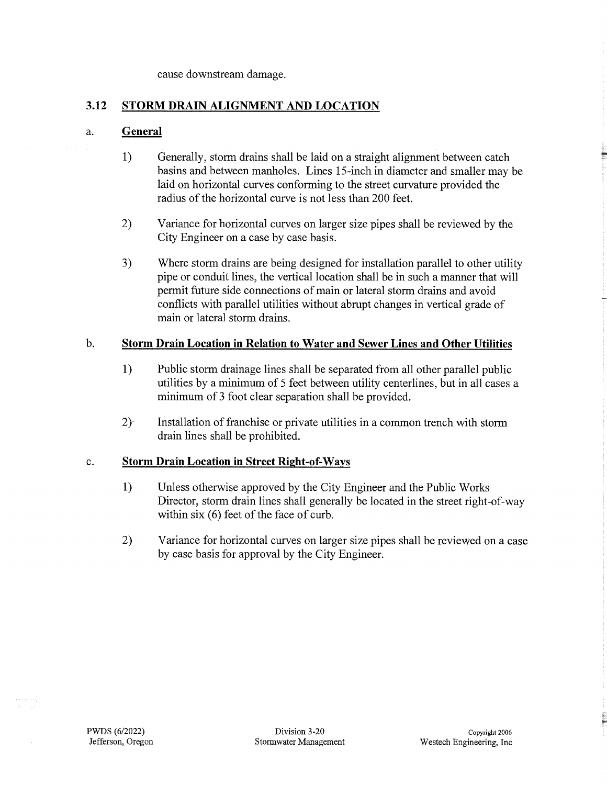cause downstream damage.

# **3.12 STORM DRAIN ALIGNMENT AND LOCATION**

# a. **General**

- 1) Generally, storm drains shall be laid on a straight alignment between catch basins and between manholes. Lines 15-inch in diameter and smaller may be laid on horizontal curves conforming to the street curvature provided the radius of the horizontal curve is not less than 200 feet.
- 2) Variance for horizontal curves on larger size pipes shall be reviewed by the City Engineer on a case by case basis.
- 3) Where storm drains are being designed for installation parallel to other utility pipe or conduit lines, the vertical location shall be in such a manner that will permit future side connections of main or lateral storm drains and avoid conflicts with parallel utilities without abrupt changes in vertical grade of main or lateral storm drains.

# b. **Storm Drain Location in Relation to Water and Sewer Lines and Other Utilities**

- 1) Public storm drainage lines shall be separated from all other parallel public utilities by a minimum of 5 feet between utility centerlines, but in all cases a minimum of 3 foot clear separation shall be provided.
- 2) Installation of franchise or private utilities in a common trench with storm drain lines shall be prohibited.

# c. **Storm Drain Location in Street Right-of-Ways**

- 1) Unless otherwise approved by the City Engineer and the Public Works Director, storm drain lines shall generally be located in the street right-of-way within six (6) feet of the face of curb.
- 2) Variance for horizontal curves on larger size pipes shall be reviewed on a case by case basis for approval by the City Engineer.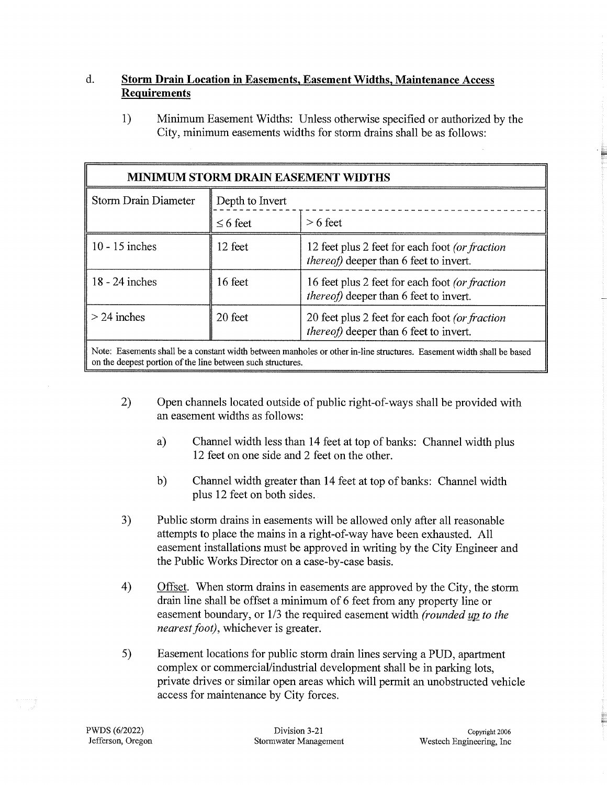# d. Storm Drain Location in Easements, Easement Widths, Maintenance Access **Requirements**

1) Minimum Easement Widths: Unless otherwise specified or authorized by the City, minimum easements widths for storm drains shall be as follows:

| <b>MINIMUM STORM DRAIN EASEMENT WIDTHS</b>                                                                            |                 |                                                                                                  |  |
|-----------------------------------------------------------------------------------------------------------------------|-----------------|--------------------------------------------------------------------------------------------------|--|
| <b>Storm Drain Diameter</b>                                                                                           | Depth to Invert |                                                                                                  |  |
|                                                                                                                       | $\leq 6$ feet   | $> 6$ feet                                                                                       |  |
| $10 - 15$ inches                                                                                                      | 12 feet         | 12 feet plus 2 feet for each foot (or fraction<br><i>thereof</i> ) deeper than 6 feet to invert. |  |
| $18 - 24$ inches                                                                                                      | 16 feet         | 16 feet plus 2 feet for each foot (or fraction<br><i>thereof</i> ) deeper than 6 feet to invert. |  |
| $>$ 24 inches                                                                                                         | 20 feet         | 20 feet plus 2 feet for each foot (or fraction<br><i>thereof</i> ) deeper than 6 feet to invert. |  |
| Note: Easements shall be a constant width between manholes or other in-line structures. Easement width shall be based |                 |                                                                                                  |  |

2) Open channels located outside of public right-of-ways shall be provided with an easement widths as follows:

on the deepest portion of the line between such structures.

- a) Channel width less than 14 feet at top of banks: Channel width plus 12 feet on one side and 2 feet on the other.
- b) Channel width greater than 14 feet at top of banks: Channel width plus 12 feet on both sides.
- 3) Public storm drains in easements will be allowed only after all reasonable attempts to place the mains in a right-of-way have been exhausted. All easement installations must be approved in writing by the City Engineer and the Public Works Director on a case-by-case basis.
- 4) Offset. When storm drains in easements are approved by the City, the storm drain line shall be offset a minimum of 6 feet from any property line or easement boundary, or 1/3 the required easement width *(rounded up to the nearest foot),* whichever is greater.
- 5) Easement locations for public storm drain lines serving a PUD, apartment complex or commercial/industrial development shall be in parking lots, private drives or similar open areas which will permit an unobstructed vehicle access for maintenance by City forces.

·~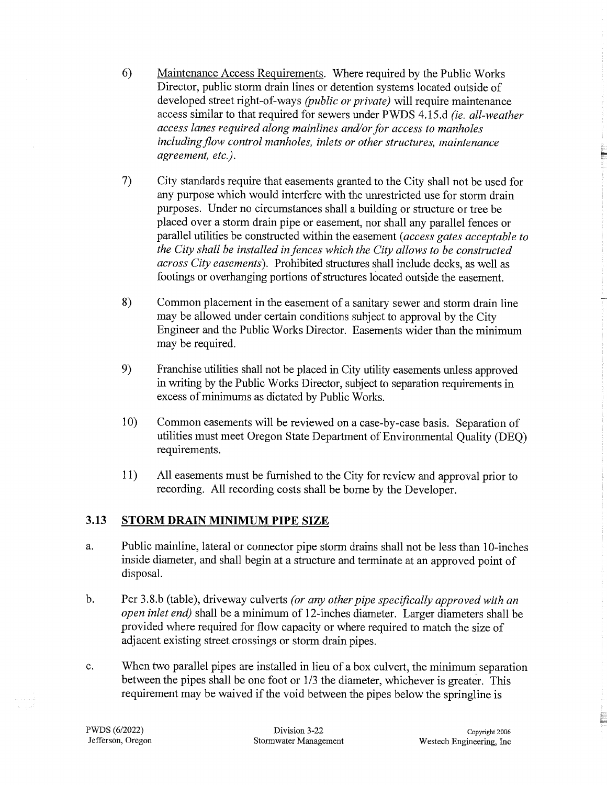- 6) Maintenance Access Requirements. Where required by the Public Works Director, public storm drain lines or detention systems located outside of developed street right-of-ways *(public or private)* will require maintenance access similar to that required for sewers under PWDS 4.15.d *(ie. all-weather access lanes required along mainlines and/or for access to manholes including flow control manholes, inlets or other structures, maintenance agreement, etc.).*
- 7) City standards require that easements granted to the City shall not be used for any purpose which would interfere with the umestricted use for storm drain purposes. Under no circumstances shall a building or structure or tree be <sup>p</sup>laced over a storm drain pipe or easement, nor shall any parallel fences or parallel utilities be constructed within the easement *(access gates acceptable to the City shall be installed in fences which the City allows to be constructed across City easements).* Prohibited structures shall include decks, as well as footings or overhanging portions of structures located outside the easement.
- 8) Common placement in the easement of a sanitary sewer and storm drain line may be allowed under certain conditions subject to approval by the City Engineer and the Public Works Director. Easements wider than the minimum may be required.
- 9) Franchise utilities shall not be placed in City utility easements unless approved in writing by the Public Works Director, subject to separation requirements in excess of minimums as dictated by Public Works.
- 10) Common easements will be reviewed on a case-by-case basis. Separation of utilities must meet Oregon State Department of Environmental Quality (DEQ) requirements.
- 11) All easements must be furnished to the City for review and approval prior to recording. All recording costs shall be borne by the Developer.

# **3.13 STORM DRAIN MINIMUM PIPE SIZE**

- a. Public mainline, lateral or connector pipe storm drains shall not be less than 10-inches inside diameter, and shall begin at a structure and terminate at an approved point of disposal.
- b. Per 3.8.b (table), driveway culverts *(or any other pipe specifically approved with an open inlet end)* shall be a minimum of 12-inches diameter. Larger diameters shall be provided where required for flow capacity or where required to match the size of adjacent existing street crossings or storm drain pipes.
- c. When two parallel pipes are installed in lieu of a box culvert, the minimum separation between the pipes shall be one foot or 1/3 the diameter, whichever is greater. This requirement may be waived if the void between the pipes below the springline is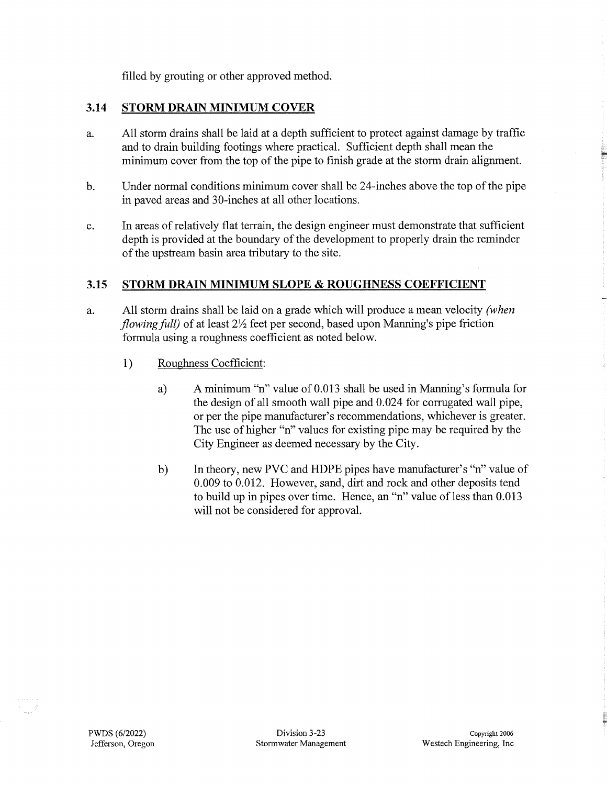filled by grouting or other approved method.

# **3.14 STORM DRAIN MINIMUM COVER**

- a. All storm drains shall be laid at a depth sufficient to protect against damage by traffic and to drain building footings where practical. Sufficient depth shall mean the minimum cover from the top of the pipe to finish grade at the storm drain alignment.
- b. Under normal conditions minimum cover shall be 24-inches above the top of the pipe in paved areas and 30-inches at all other locations.
- c. In areas of relatively flat terrain, the design engineer must demonstrate that sufficient depth is provided at the boundary of the development to properly drain the reminder of the upstream basin area tributary to the site.

#### **3.15 STORM DRAIN MINIMUM SLOPE & ROUGHNESS COEFFICIENT**

- a. All storm drains shall be laid on a grade which will produce a mean velocity *(when flowing full)* of at least *2Yz* feet per second, based upon Manning's pipe friction formula using a roughness coefficient as noted below.
	- 1) Roughness Coefficient:
		- a) A minimum "n" value of 0.013 shall be used in Manning's formula for the design of all smooth wall pipe and 0.024 for corrugated wall pipe, or per the pipe manufacturer's recommendations, whichever is greater. The use of higher "n" values for existing pipe may be required by the City Engineer as deemed necessary by the City.
		- b) In theory, new PVC and HDPE pipes have manufacturer's "n" value of 0.009 to 0.012. However, sand, dirt and rock and other deposits tend to build up in pipes over time. Hence, an "n" value of less than 0.013 will not be considered for approval.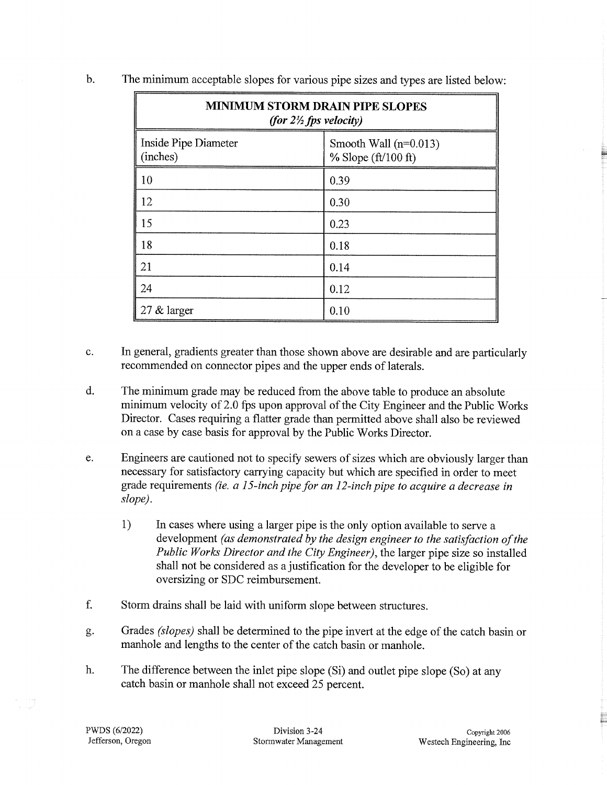| MINIMUM STORM DRAIN PIPE SLOPES<br>(for $2\frac{1}{2}$ fps velocity) |                                                  |  |
|----------------------------------------------------------------------|--------------------------------------------------|--|
| Inside Pipe Diameter<br>(inches)                                     | Smooth Wall $(n=0.013)$<br>$%$ Slope (ft/100 ft) |  |
| 10                                                                   | 0.39                                             |  |
| 12                                                                   | 0.30                                             |  |
| 15                                                                   | 0.23                                             |  |
| 18                                                                   | 0.18                                             |  |
| 21                                                                   | 0.14                                             |  |
| 24                                                                   | 0.12                                             |  |
| 27 & larger                                                          | 0.10                                             |  |

b. The minimum acceptable slopes for various pipe sizes and types are listed below:

- c. In general, gradients greater than those shown above are desirable and are particularly recommended on connector pipes and the upper ends of laterals.
- d. The minimum grade may be reduced from the above table to produce an absolute minimum velocity of 2.0 fps upon approval of the City Engineer and the Public Works Director. Cases requiring a flatter grade than permitted above shall also be reviewed on a case by case basis for approval by the Public Works Director.
- e. Engineers are cautioned not to specify sewers of sizes which are obviously larger than necessary for satisfactory carrying capacity but which are specified in order to meet grade requirements *(ie. a 15-inch pipe for an 12-inch pipe to acquire a decrease in slope).* 
	- 1) In cases where using a larger pipe is the only option available to serve a development *(as demonstrated by the design engineer to the satisfaction of the Public Works Director and the City Engineer),* the larger pipe size so installed shall not be considered as a justification for the developer to be eligible for oversizing or SDC reimbursement.
- f. Storm drains shall be laid with uniform slope between structures.
- g. Grades *(slopes)* shall be determined to the pipe invert at the edge of the catch basin or manhole and lengths to the center of the catch basin or manhole.
- h. The difference between the inlet pipe slope (Si) and outlet pipe slope (So) at any catch basin or manhole shall not exceed 25 percent.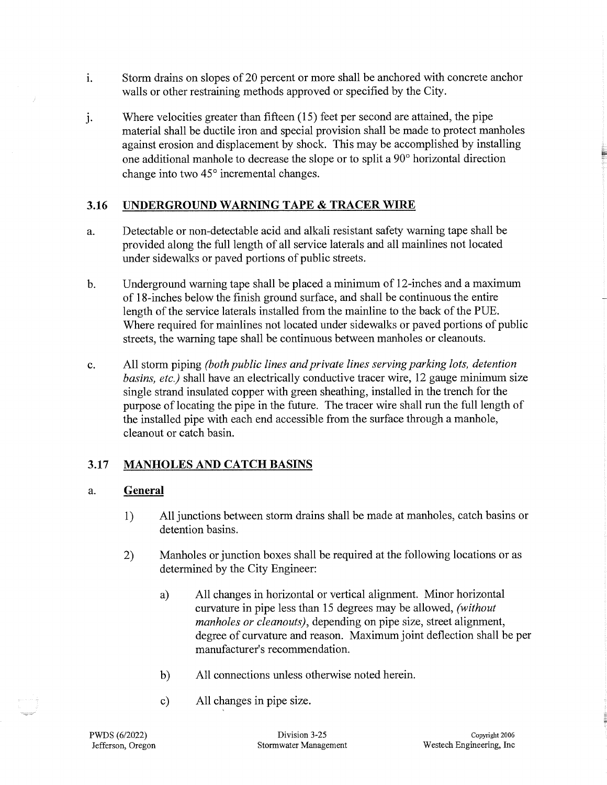- i. Storm drains on slopes of 20 percent or more shall be anchored with concrete anchor walls or other restraining methods approved or specified by the City.
- j. Where velocities greater than fifteen (15) feet per second are attained, the pipe material shall be ductile iron and special provision shall be made to protect manholes against erosion and displacement by shock. This may be accomplished by installing one additional manhole to decrease the slope or to split a 90° horizontal direction change into two 45° incremental changes.

#### **3.16 UNDERGROUND WARNING TAPE & TRACER WIRE**

- a. Detectable or non-detectable acid and alkali resistant safety warning tape shall be provided along the full length of all service laterals and all mainlines not located under sidewalks or paved portions of public streets.
- b. Underground warning tape shall be placed a minimum of 12-inches and a maximum of 18-inches below the finish ground surface, and shall be continuous the entire length of the service laterals installed from the mainline to the back of the PUE. Where required for mainlines not located under sidewalks or paved portions of public streets, the warning tape shall be continuous between manholes or cleanouts.
- c. All storm piping *(both public lines and private lines serving parking lots, detention basins, etc.)* shall have an electrically conductive tracer wire, 12 gauge minimum size single strand insulated copper with green sheathing, installed in the trench for the purpose of locating the pipe in the future. The tracer wire shall run the full length of the installed pipe with each end accessible from the surface through a manhole, cleanout or catch basin.

# **3.17 MANHOLES AND CATCH BASINS**

# a. **General**

- 1) All junctions between storm drains shall be made at manholes, catch basins or detention basins.
- 2) Manholes or junction boxes shall be required at the following locations or as determined by the City Engineer:
	- a) All changes in horizontal or vertical alignment. Minor horizontal curvature in pipe less than 15 degrees may be allowed, *(without manholes or cleanouts),* depending on pipe size, street alignment, degree of curvature and reason. Maximum joint deflection shall be per manufacturer's recommendation.
	- b) All connections unless otherwise noted herein.
	- c) All changes in pipe size.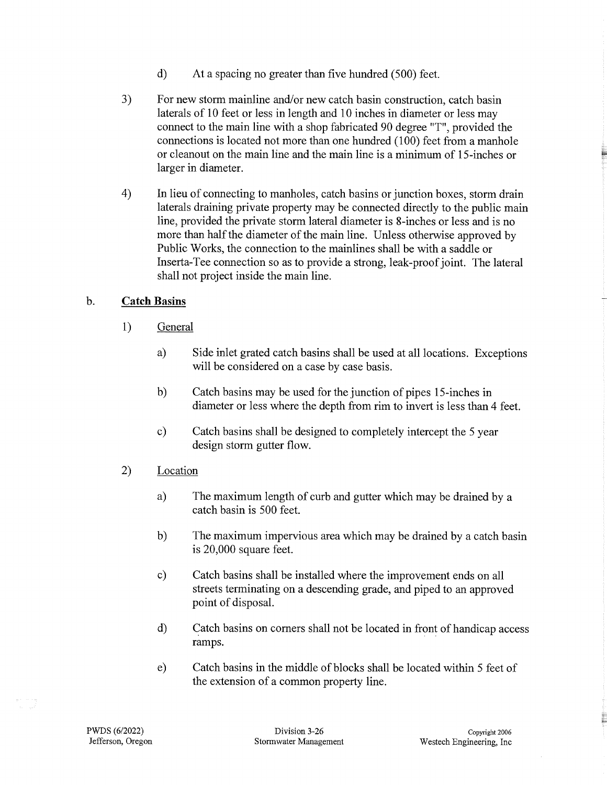- d) At a spacing no greater than five hundred (500) feet.
- 3) For new storm mainline and/or new catch basin construction, catch basin laterals of 10 feet or less in length and 10 inches in diameter or less may connect to the main line with a shop fabricated 90 degree "T", provided the connections is located not more than one hundred (100) feet from a manhole or cleanout on the main line and the main line is a minimum of 15-inches or larger in diameter.
- 4) In lieu of connecting to manholes, catch basins or junction boxes, storm drain laterals draining private property may be connected directly to the public main line, provided the private storm lateral diameter is 8-inches or less and is no more than half the diameter of the main line. Unless otherwise approved by Public Works, the connection to the mainlines shall be with a saddle or Inserta-Tee connection so as to provide a strong, leak-proof joint. The lateral shall not project inside the main line.

#### b. **Catch Basins**

- 1) General
	- a) Side inlet grated catch basins shall be used at all locations. Exceptions will be considered on a case by case basis.
	- b) Catch basins may be used for the junction of pipes 15-inches in diameter or less where the depth from rim to invert is less than 4 feet.
	- c) Catch basins shall be designed to completely intercept the 5 year design storm gutter flow.
- 2) Location
	- a) The maximum length of curb and gutter which may be drained by a catch basin is 500 feet.
	- b) The maximum impervious area which may be drained by a catch basin is 20,000 square feet.
	- c) Catch basins shall be installed where the improvement ends on all streets terminating on a descending grade, and piped to an approved point of disposal.
	- d) Catch basins on corners shall not be located in front of handicap access ramps.
	- e) Catch basins in the middle of blocks shall be located within 5 feet of the extension of a common property line.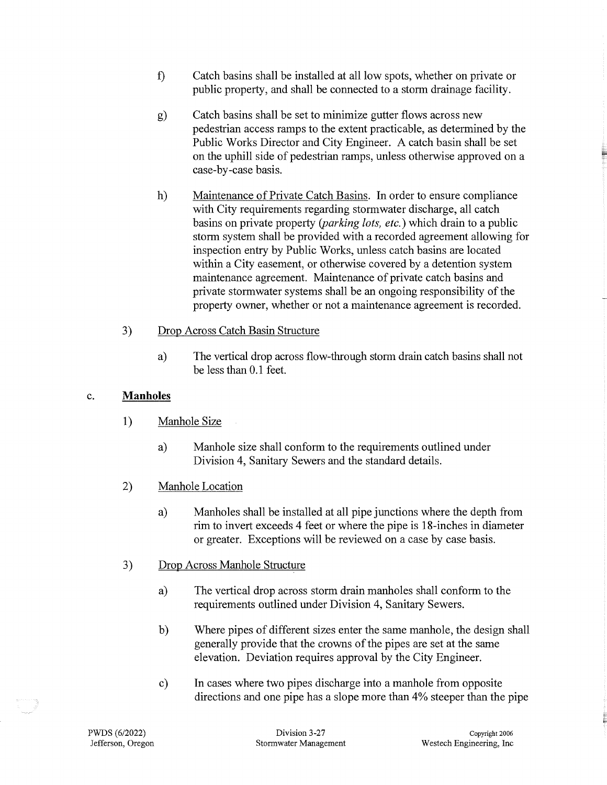- f) Catch basins shall be installed at all low spots, whether on private or public property, and shall be connected to a storm drainage facility.
- g) Catch basins shall be set to minimize gutter flows across new pedestrian access ramps to the extent practicable, as determined by the Public Works Director and City Engineer. A catch basin shall be set on the uphill side of pedestrian ramps, unless otherwise approved on a case-by-case basis.
- h) Maintenance of Private Catch Basins. In order to ensure compliance with City requirements regarding stormwater discharge, all catch basins on private property *(parking lots, etc.)* which drain to a public storm system shall be provided with a recorded agreement allowing for inspection entry by Public Works, unless catch basins are located within a City easement, or otherwise covered by a detention system maintenance agreement. Maintenance of private catch basins and private storm water systems shall be an ongoing responsibility of the property owner, whether or not a maintenance agreement is recorded.
- 3) Drop Across Catch Basin Structure
	- a) The vertical drop across flow-through storm drain catch basins shall not be less than 0.1 feet.

# c. **Manholes**

- 1) Manhole Size
	- a) Manhole size shall conform to the requirements outlined under Division 4, Sanitary Sewers and the standard details.
- 2) Manhole Location
	- a) Manholes shall be installed at all pipe junctions where the depth from rim to invert exceeds 4 feet or where the pipe is 18-inches in diameter or greater. Exceptions will be reviewed on a case by case basis.
- 3) Drop Across Manhole Structure
	- a) The vertical drop across storm drain manholes shall conform to the requirements outlined under Division 4, Sanitary Sewers.
	- b) Where pipes of different sizes enter the same manhole, the design shall generally provide that the crowns of the pipes are set at the same elevation. Deviation requires approval by the City Engineer.
	- c) In cases where two pipes discharge into a manhole from opposite directions and one pipe has a slope more than 4% steeper than the pipe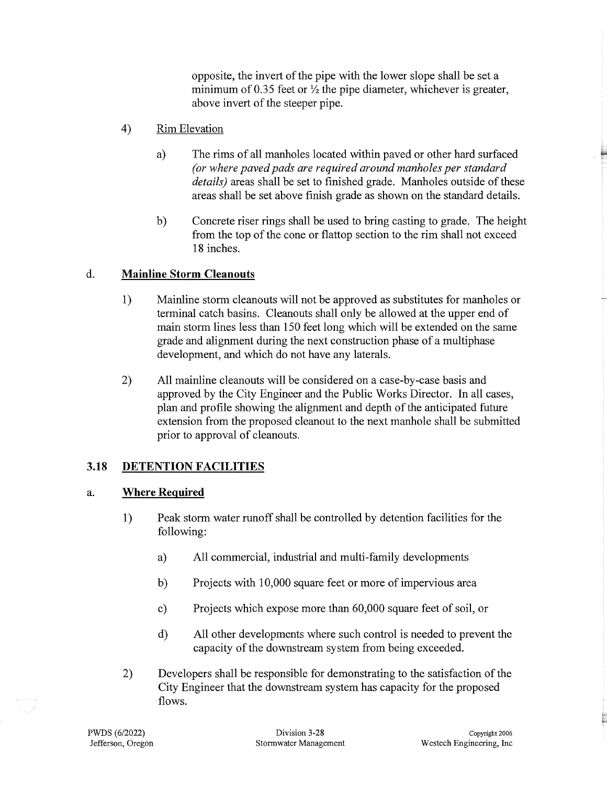opposite, the invert of the pipe with the lower slope shall be set a minimum of 0.35 feet or  $\frac{1}{2}$  the pipe diameter, whichever is greater, above invert of the steeper pipe.

- 4) Rim Elevation
	- a) The rims of all manholes located within paved or other hard surfaced *(or where paved pads are required around manholes per standard details)* areas shall be set to finished grade. Manholes outside of these areas shall be set above finish grade as shown on the standard details.
	- b) Concrete riser rings shall be used to bring casting to grade. The height from the top of the cone or flattop section to the rim shall not exceed 18 inches.

#### d. **Mainline Storm Cleanouts**

- 1) Mainline storm cleanouts will not be approved as substitutes for manholes or terminal catch basins. Cleanouts shall only be allowed at the upper end of main storm lines less than 150 feet long which will be extended on the same grade and alignment during the next construction phase of a multiphase development, and which do not have any laterals.
- 2) All mainline cleanouts will be considered on a case-by-case basis and approved by the City Engineer and the Public Works Director. In all cases, plan and profile showing the alignment and depth of the anticipated future extension from the proposed cleanout to the next manhole shall be submitted prior to approval of cleanouts.

# **3.18 DETENTION FACILITIES**

#### a. **Where Required**

- 1) Peak storm water runoff shall be controlled by detention facilities for the following:
	- a) All commercial, industrial and multi-family developments
	- b) Projects with 10,000 square feet or more of impervious area
	- c) Projects which expose more than 60,000 square feet of soil, or
	- d) All other developments where such control is needed to prevent the capacity of the downstream system from being exceeded.
- 2) Developers shall be responsible for demonstrating to the satisfaction of the City Engineer that the downstream system has capacity for the proposed flows.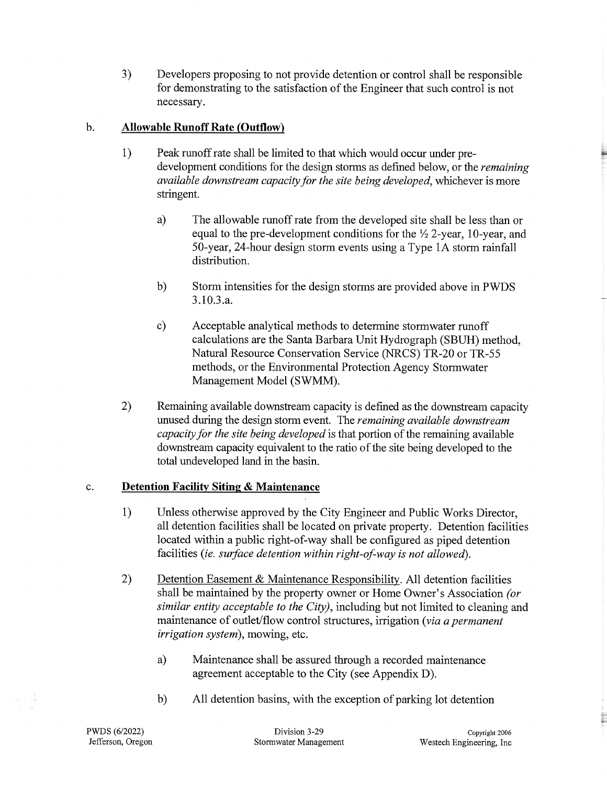3) Developers proposing to not provide detention or control shall be responsible for demonstrating to the satisfaction of the Engineer that such control is not necessary.

# b. **Allowable Runoff Rate (Outflow)**

- 1) Peak runoff rate shall be limited to that which would occur under predevelopment conditions for the design storms as defined below, or the *remaining available downstream capacity for the site being developed,* whichever is more stringent.
	- a) The allowable runoff rate from the developed site shall be less than or equal to the pre-development conditions for the  $\frac{1}{2}$  2-year, 10-year, and 50-year, 24-hour design storm events using a Type lA storm rainfall distribution.
	- b) Storm intensities for the design storms are provided above in PWDS 3.10.3.a.
	- c) Acceptable analytical methods to determine storm water runoff calculations are the Santa Barbara Unit Hydrograph (SBUH) method, Natural Resource Conservation Service (NRCS) TR-20 or TR-55 methods, or the Environmental Protection Agency Stormwater Management Model (SWMM).
- 2) Remaining available downstream capacity is defined as the downstream capacity unused during the design storm event. The *remaining available downstream capacity for the site being developed* is that portion of the remaining available downstream capacity equivalent to the ratio of the site being developed to the total undeveloped land in the basin.

# c. **Detention Facility Siting & Maintenance**

- 1) Unless otherwise approved by the City Engineer and Public Works Director, all detention facilities shall be located on private property. Detention facilities located within a public right-of-way shall be configured as piped detention facilities *(ie. surface detention within right-of-way is not allowed).*
- 2) Detention Easement & Maintenance Responsibility. All detention facilities shall be maintained by the property owner or Home Owner's Association *(or similar entity acceptable to the City),* including but not limited to cleaning and maintenance of outlet/flow control structures, irrigation *(via a permanent irrigation system),* mowing, etc.
	- a) Maintenance shall be assured through a recorded maintenance agreement acceptable to the City (see Appendix D).
	- b) All detention basins, with the exception of parking lot detention

È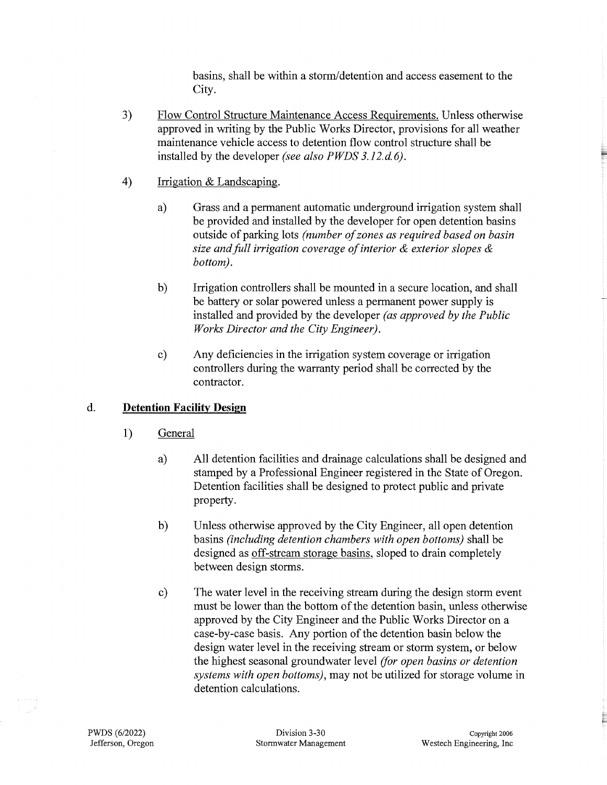basins, shall be within a storm/detention and access easement to the City.

- 3) Flow Control Structure Maintenance Access Requirements. Unless otherwise approved in writing by the Public Works Director, provisions for all weather maintenance vehicle access to detention flow control structure shall be installed by the developer *(see also PWDS 3.12.d.6).*
- 4) Irrigation & Landscaping.
	- a) Grass and a permanent automatic underground irrigation system shall be provided and installed by the developer for open detention basins outside of parking lots *(number of zones as required based on basin size and full irrigation coverage of interior* & *exterior slopes* & *bottom).*
	- b) Irrigation controllers shall be mounted in a secure location, and shall be battery or solar powered unless a permanent power supply is installed and provided by the developer *(as approved by the Public Works Director and the City Engineer).*
	- c) Any deficiencies in the irrigation system coverage or irrigation controllers during the warranty period shall be corrected by the contractor.

#### d. **Detention Facility Design**

- 1) General
	- a) All detention facilities and drainage calculations shall be designed and stamped by a Professional Engineer registered in the State of Oregon. Detention facilities shall be designed to protect public and private property.
	- b) Unless otherwise approved by the City Engineer, all open detention basins *(including detention chambers with open bottoms)* shall be designed as off-stream storage basins, sloped to drain completely between design storms.
	- c) The water level in the receiving stream during the design storm event must be lower than the bottom of the detention basin, unless otherwise approved by the City Engineer and the Public Works Director on a case-by-case basis. Any portion of the detention basin below the design water level in the receiving stream or storm system, or below the highest seasonal groundwater level *(for open basins or detention systems with open bottoms),* may not be utilized for storage volume in detention calculations.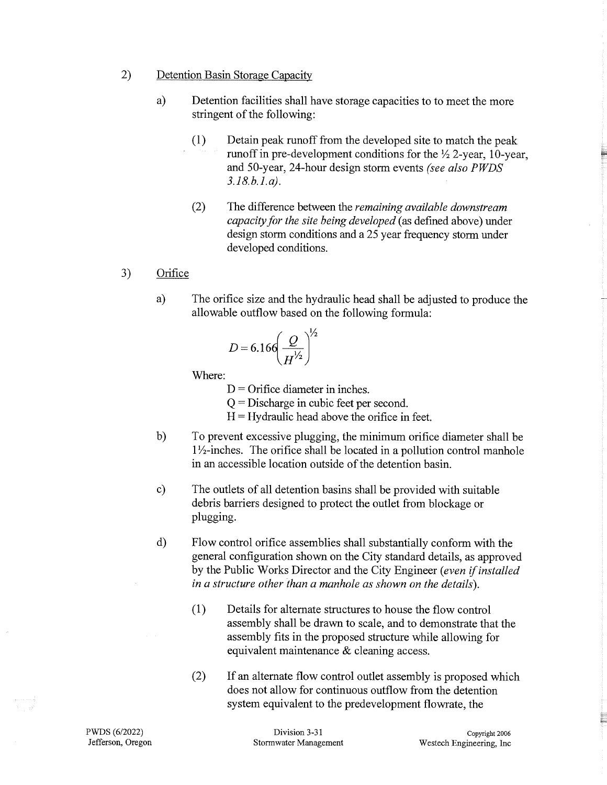- 2) Detention Basin Storage Capacity
	- a) Detention facilities shall have storage capacities to to meet the more stringent of the following:
		- (1) Detain peak runoff from the developed site to match the peak runoff in pre-development conditions for the  $\frac{1}{2}$  2-year, 10-year, and 50-year, 24-hour design storm events *(see also PWDS 3.18.b.1.a).*
		- (2) The difference between the *remaining available downstream capacity for the site being developed* (as defined above) under design storm conditions and a 25 year frequency storm under developed conditions.

#### 3) Orifice

a) The orifice size and the hydraulic head shall be adjusted to produce the allowable outflow based on the following formula:

$$
D = 6.166 \left(\frac{Q}{H^{1/2}}\right)^{1/2}
$$

Where:

 $D =$ Orifice diameter in inches.

 $Q =$  Discharge in cubic feet per second.

 $H = Hyd$ raulic head above the orifice in feet.

- b) To prevent excessive plugging, the minimum orifice diameter shall be  $1\frac{1}{2}$ -inches. The orifice shall be located in a pollution control manhole in an accessible location outside of the detention basin.
- c) The outlets of all detention basins shall be provided with suitable debris barriers designed to protect the outlet from blockage or plugging.
- d) Flow control orifice assemblies shall substantially conform with the general configuration shown on the City standard details, as approved by the Public Works Director and the City Engineer *(even* if *installed in a structure other than a manhole as shown on the details).* 
	- (1) Details for alternate structures to house the flow control assembly shall be drawn to scale, and to demonstrate that the assembly fits in the proposed structure while allowing for equivalent maintenance & cleaning access.
	- (2) If an alternate flow control outlet assembly is proposed which does not allow for continuous outflow from the detention system equivalent to the predevelopment flowrate, the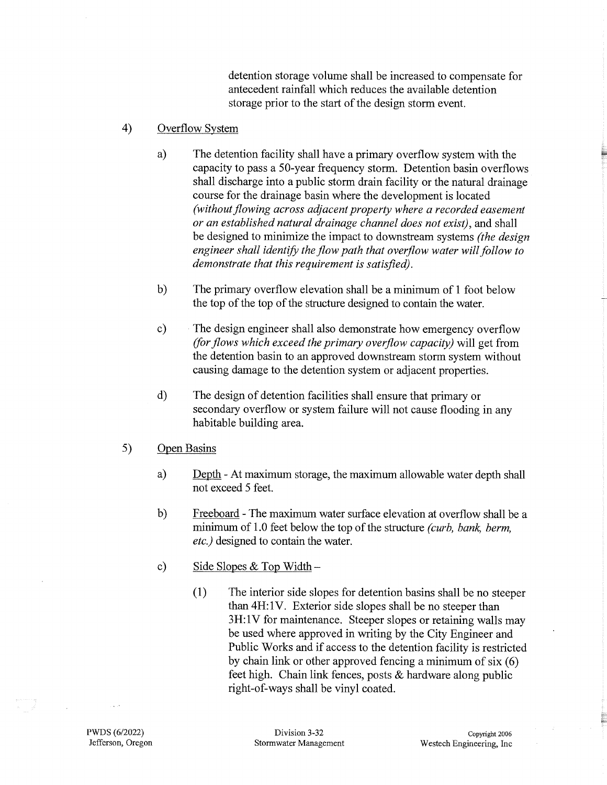detention storage volume shall be increased to compensate for antecedent rainfall which reduces the available detention storage prior to the start of the design storm event.

# 4) Overflow System

- a) The detention facility shall have a primary overflow system with the capacity to pass a 50-year frequency storm. Detention basin overflows shall discharge into a public storm drain facility or the natural drainage course for the drainage basin where the development is located *(without flowing across adjacent property where a recorded easement or an established natural drainage channel does not exist),* and shall be designed to minimize the impact to downstream systems *(the design engineer shall identify the flow path that overflow water will follow to demonstrate that this requirement is satisfied).*
- b) The primary overflow elevation shall be a minimum of 1 foot below the top of the top of the structure designed to contain the water.
- c) The design engineer shall also demonstrate how emergency overflow *(for flows which exceed the primary overflow capacity)* will get from the detention basin to an approved downstream storm system without causing damage to the detention system or adjacent properties.
- d) The design of detention facilities shall ensure that primary or secondary overflow or system failure will not cause flooding in any habitable building area.
- 5) Open Basins
	- a) Depth-At maximum storage, the maximum allowable water depth shall not exceed 5 feet.
	- b) Freeboard The maximum water surface elevation at overflow shall be a minimum of 1.0 feet below the top of the structure *(curb, bank, berm, etc.)* designed to contain the water.
	- c) Side Slopes  $&$  Top Width
		- (1) The interior side slopes for detention basins shall be no steeper than 4H:1V. Exterior side slopes shall be no steeper than 3H:1V for maintenance. Steeper slopes or retaining walls may be used where approved in writing by the City Engineer and Public Works and if access to the detention facility is restricted by chain link or other approved fencing a minimum of six (6) feet high. Chain link fences, posts & hardware along public right-of-ways shall be vinyl coated.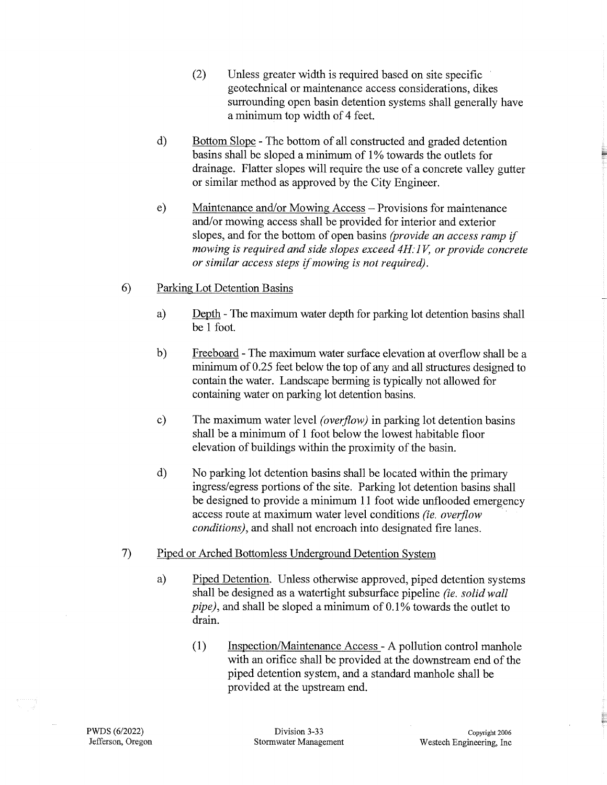- (2) Unless greater width is required based on site specific geotechnical or maintenance access considerations, dikes surrounding open basin detention systems shall generally have a minimum top width of 4 feet.
- d) Bottom Slope - The bottom of all constructed and graded detention basins shall be sloped a minimum of 1% towards the outlets for drainage. Flatter slopes will require the use of a concrete valley gutter or similar method as approved by the City Engineer.
- e) Maintenance and/or Mowing Access Provisions for maintenance and/or mowing access shall be provided for interior and exterior slopes, and for the bottom of open basins *(provide an access ramp* if *mowing is required and side slopes exceed 4H:IV, or provide concrete or similar access steps* if *mowing is not required).*
- 6) Parking Lot Detention Basins
	- a) Depth-The maximum water depth for parking lot detention basins shall be 1 foot.
	- b) Freeboard The maximum water surface elevation at overflow shall be a minimum of 0.25 feet below the top of any and all structures designed to contain the water. Landscape berming is typically not allowed for containing water on parking lot detention basins.
	- c) The maximum water level *(overflow)* in parking lot detention basins shall be a minimum of 1 foot below the lowest habitable floor elevation of buildings within the proximity of the basin.
	- d) No parking lot detention basins shall be located within the primary ingress/egress portions of the site. Parking lot detention basins shall be designed to provide a minimum 11 foot wide unflooded emergency access route at maximum water level conditions *(ie. overflow conditions),* and shall not encroach into designated fire lanes.
- 7) Piped or Arched Bottomless Underground Detention System
	- a) Piped Detention. Unless otherwise approved, piped detention systems shall be designed as a watertight subsurface pipeline *(ie. solid wall pipe)*, and shall be sloped a minimum of 0.1% towards the outlet to drain.
		- (1) Inspection/Maintenance Access A pollution control manhole with an orifice shall be provided at the downstream end of the piped detention system, and a standard manhole shall be provided at the upstream end.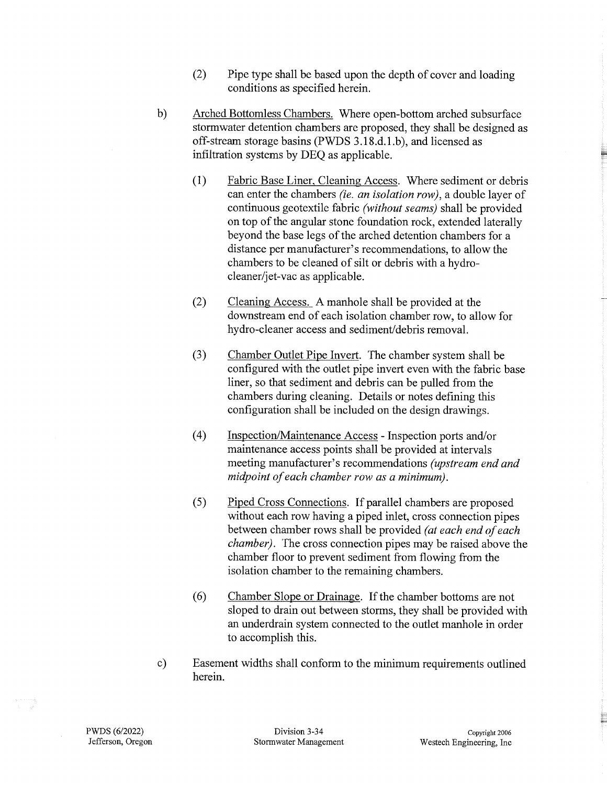- (2) Pipe type shall be based upon the depth of cover and loading conditions as specified herein.
- b) Arched Bottomless Chambers. Where open-bottom arched subsurface stormwater detention chambers are proposed, they shall be designed as off-stream storage basins (PWDS 3.18.d.l.b), and licensed as infiltration systems by DEQ as applicable.
	- (1) Fabric Base Liner, Cleaning Access. Where sediment or debris can enter the chambers *(ie. an isolation row),* a double layer of continuous geotextile fabric *(without seams)* shall be provided on top of the angular stone foundation rock, extended laterally beyond the base legs of the arched detention chambers for a distance per manufacturer's recommendations, to allow the chambers to be cleaned of silt or debris with a hydrocleaner/jet-vac as applicable.
	- (2) Cleaning Access. A manhole shall be provided at the downstream end of each isolation chamber row, to allow for hydro-cleaner access and sediment/debris removal.
	- (3) Chamber Outlet Pipe Invert. The chamber system shall be configured with the outlet pipe invert even with the fabric base liner, so that sediment and debris can be pulled from the chambers during cleaning. Details or notes defining this configuration shall be included on the design drawings.
	- (4) Inspection/Maintenance Access Inspection ports and/or maintenance access points shall be provided at intervals meeting manufacturer's recommendations *(upstream end and midpoint of each chamber row as a minimum).*
	- (5) Piped Cross Connections. If parallel chambers are proposed without each row having a piped inlet, cross connection pipes between chamber rows shall be provided *(at each end of each chamber).* The cross connection pipes may be raised above the chamber floor to prevent sediment from flowing from the isolation chamber to the remaining chambers.
	- (6) Chamber Slope or Drainage. If the chamber bottoms are not sloped to drain out between storms, they shall be provided with an underdrain system connected to the outlet manhole in order to accomplish this.
- c) Easement widths shall conform to the minimum requirements outlined herein.

s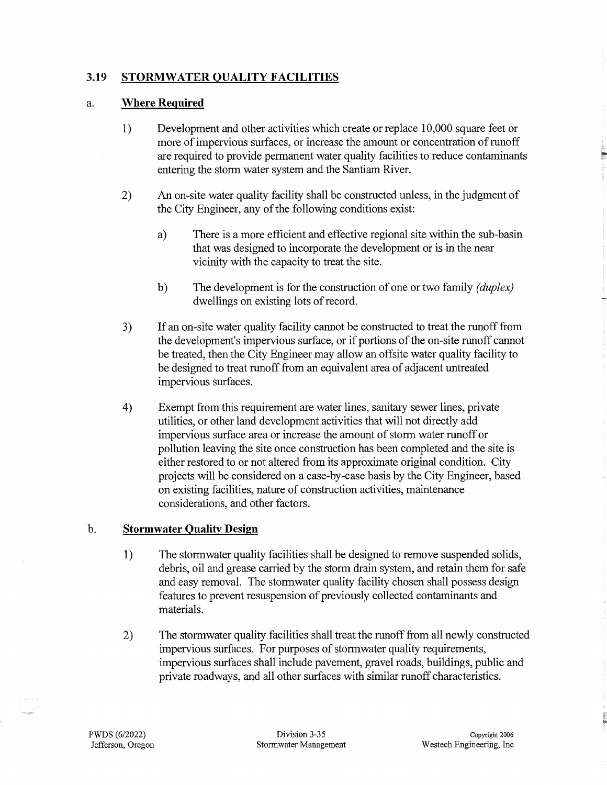#### **3.19 STORMWATER QUALITY FACILITIES**

#### a. **Where Required**

- 1) Development and other activities which create or replace 10,000 square feet or more of impervious surfaces, or increase the amount or concentration of runoff are required to provide permanent water quality facilities to reduce contaminants entering the storm water system and the Santiam River.
- 2) An on-site water quality facility shall be constructed unless, in the judgment of the City Engineer, any of the following conditions exist:
	- a) There is a more efficient and effective regional site within the sub-basin that was designed to incorporate the development or is in the near vicinity with the capacity to treat the site.
	- b) The development is for the construction of one or two family *(duplex)*  dwellings on existing lots of record.
- 3) If an on-site water quality facility cannot be constructed to treat the runoff from the development's impervious surface, or if portions of the on-site runoff cannot be treated, then the City Engineer may allow an offsite water quality facility to be designed to treat runoff from an equivalent area of adjacent untreated impervious surfaces.
- 4) Exempt from this requirement are water lines, sanitary sewer lines, private utilities, or other land developmentactivities that will not directly add impervious surface area or increase the amount of storm water runoff or pollution leaving the site once construction has been completed and the site is either restored to or not altered from its approximate original condition. City projects will be considered on a case-by-case basis by the City Engineer, based on existing facilities, nature of construction activities, maintenance considerations, and other factors.

#### b. **Stormwater Quality Design**

- 1) The stormwater quality facilities shall be designed to remove suspended solids, debris, oil and grease carried by the storm drain system, and retain them for safe and easy removal. The stormwater quality facility chosen shall possess design features to prevent resuspension of previously collected contaminants and materials.
- 2) The stormwater quality facilities shall treat the runoff from all newly constructed impervious surfaces. For purposes of stormwater quality requirements, impervious surfaces shall include pavement, gravel roads, buildings, public and private roadways, and all other surfaces with similar runoff characteristics.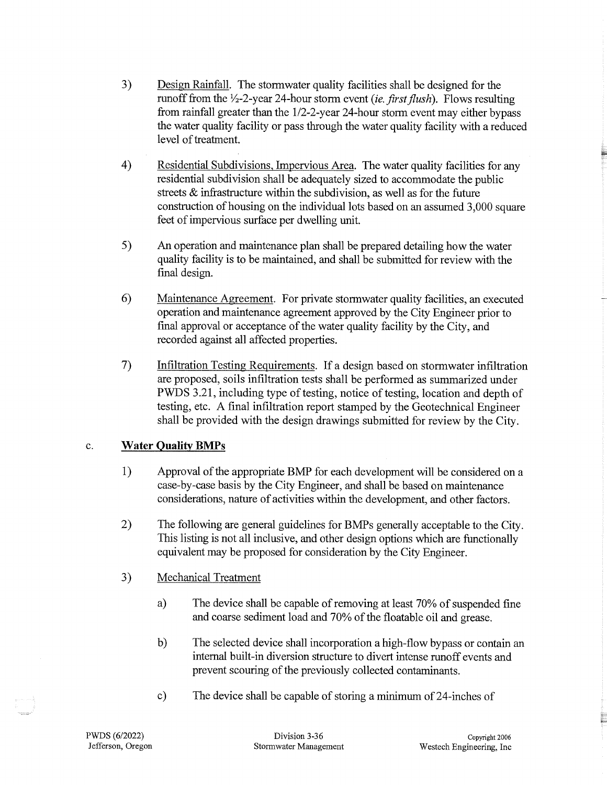- 3) Design Rainfall. The storm water quality facilities shall be designed for the runoff from the <sup>1</sup>/<sub>2</sub>-2-year 24-hour storm event *(ie. first flush)*. Flows resulting from rainfall greater than the 1/2-2-year 24-hour storm event may either bypass the water quality facility or pass through the water quality facility with a reduced level of treatment.
- 4) Residential Subdivisions, Impervious Area. The water quality facilities for any residential subdivision shall be adequately sized to accommodate the public streets  $\&$  infrastructure within the subdivision, as well as for the future construction of housing on the individual lots based on an assumed 3,000 square feet of impervious surface per dwelling unit.
- 5) An operation and maintenance plan shall be prepared detailing how the water quality facility is to be maintained, and shall be submitted for review with the final design.
- 6) Maintenance Agreement. For private stormwater quality facilities, an executed operation and maintenance agreement approved by the City Engineer prior to final approval or acceptance of the water quality facility by the City, and recorded against all affected properties.
- 7) Infiltration Testing Requirements. If a design based on stormwater infiltration are proposed, soils infiltration tests shall be performed as summarized under PWDS 3.21, including type of testing, notice of testing, location and depth of testing, etc. A final infiltration report stamped by the Geotechnical Engineer shall be provided with the design drawings submitted for review by the City.

# c. **Water Quality BMPs**

- 1) Approval of the appropriate BMP for each development will be considered on a case-by-case basis by the City Engineer, and shall be based on maintenance considerations, nature of activities within the development, and other factors.
- 2) The following are general guidelines for BMPs generally acceptable to the City. This listing is not all inclusive, and other design options which are functionally equivalent may be proposed for consideration by the City Engineer.
- 3) Mechanical Treatment
	- a) The device shall be capable of removing at least 70% of suspended fine and coarse sediment load and 70% of the floatable oil and grease.
	- b) The selected device shall incorporation a high-flow bypass or contain an internal built-in diversion structure to divert intense runoff events and prevent scouring of the previously collected contaminants.
	- c) The device shall be capable of storing a minimum of 24-inches of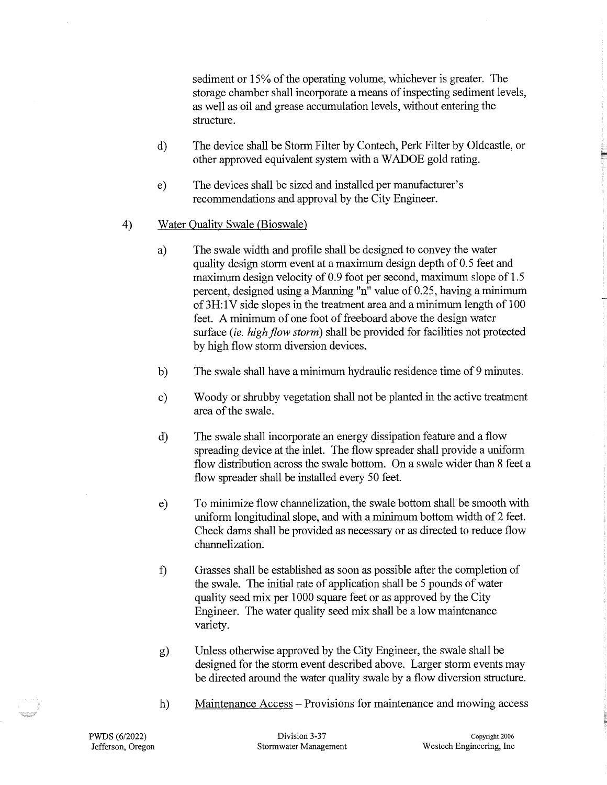sediment or 15% of the operating volume, whichever is greater. The storage chamber shall incorporate a means of inspecting sediment levels, as well as oil and grease accumulation levels, without entering the structure.

- d) The device shall be Storm Filter by Contech, Perk Filter by Oldcastle, or other approved equivalent system with a WADOE gold rating.
- e) The devices shall be sized and installed per manufacturer's recommendations and approval by the City Engineer.
- 4) Water Quality Swale (Bioswale)
	- a) The swale width and profile shall be designed to convey the water quality design storm event at a maximum design depth of 0.5 feet and maximum design velocity of 0.9 foot per second, maximum slope of 1.5 percent, designed using a Manning "n" value of 0 .25, having a minimum of 3H: 1 V side slopes in the treatment area and a minimum length of 100 feet. A minimum of one foot of freeboard above the design water surface *(ie. high flow storm)* shall be provided for facilities not protected by high flow storm diversion devices.
	- b) The swale shall have a minimum hydraulic residence time of 9 minutes.
	- c) Woody or shrubby vegetation shall not be planted in the active treatment area of the swale.
	- d) The swale shall incorporate an energy dissipation feature and a flow spreading device at the inlet. The flow spreader shall provide a uniform flow distribution across the swale bottom. On a swale wider than 8 feet a flow spreader shall be installed every 50 feet.
	- e) To minimize flow channelization, the swale bottom shall be smooth with uniform longitudinal slope, and with a minimum bottom width of 2 feet. Check dams shall be provided as necessary or as directed to reduce flow channelization.
	- f) Grasses shall be established as soon as possible after the completion of the swale. The initial rate of application shall be 5 pounds of water quality seed mix per 1000 square feet or as approved by the City Engineer. The water quality seed mix shall be a low maintenance variety.
	- g) Unless otherwise approved by the City Engineer, the swale shall be designed for the storm event described above. Larger storm events may be directed around the water quality swale by a flow diversion structure.
	- h) Maintenance Access Provisions for maintenance and mowing access

ii: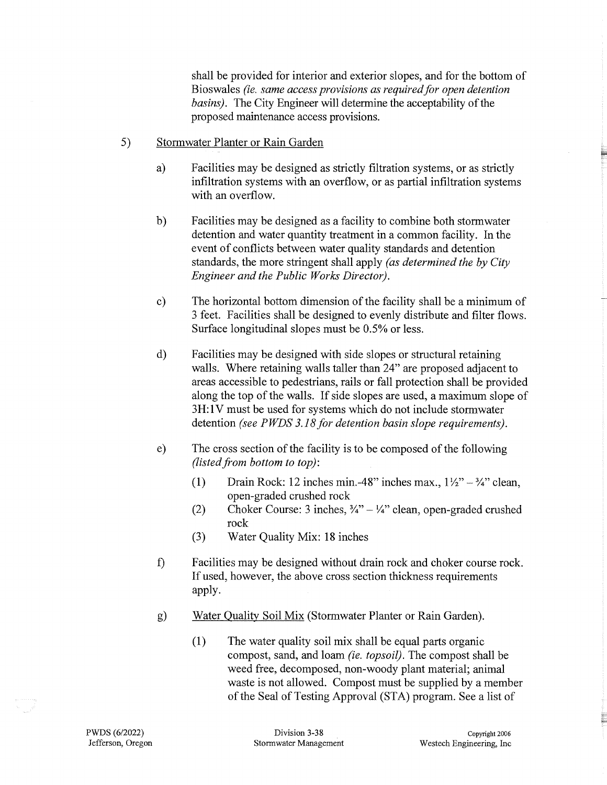shall be provided for interior and exterior slopes, and for the bottom of Bioswales *(ie. same access provisions as required for open detention basins).* The City Engineer will determine the acceptability of the proposed maintenance access provisions.

- 5) Stormwater Planter or Rain Garden
	- a) Facilities may be designed as strictly filtration systems, or as strictly infiltration systems with an overflow, or as partial infiltration systems with an overflow.
	- b) Facilities may be designed as a facility to combine both stormwater detention and water quantity treatment in a common facility. In the event of conflicts between water quality standards and detention standards, the more stringent shall apply *(as determined the by City Engineer and the Public Works Director).*
	- c) The horizontal bottom dimension of the facility shall be a minimum of 3 feet. Facilities shall be designed to evenly distribute and filter flows. Surface longitudinal slopes must be 0.5% or less.
	- d) Facilities may be designed with side slopes or structural retaining walls. Where retaining walls taller than 24" are proposed adjacent to areas accessible to pedestrians, rails or fall protection shall be provided along the top of the walls. If side slopes are used, a maximum slope of 3H: 1 V must be used for systems which do not include stormwater detention *(see PWDS 3.18 for detention basin slope requirements).*
	- e) The cross section of the facility is to be composed of the following *(listed from bottom to top):* 
		- (1) Drain Rock: 12 inches min.-48" inches max.,  $1\frac{1}{2}$ "  $-3\frac{1}{4}$ " clean, open-graded crushed rock
		- (2) Choker Course: 3 inches, %" *W'* clean, open-graded crushed rock
		- (3) Water Quality Mix: 18 inches
	- f) Facilities may be designed without drain rock and choker course rock. If used, however, the above cross section thickness requirements apply.
	- g) Water Quality Soil Mix (Stormwater Planter or Rain Garden).
		- (1) The water quality soil mix shall be equal parts organic compost, sand, and loam *(ie. topsoil).* The compost shall be weed free, decomposed, non-woody plant material; animal waste is not allowed. Compost must be supplied by a member of the Seal of Testing Approval (STA) program. See a list of

~

~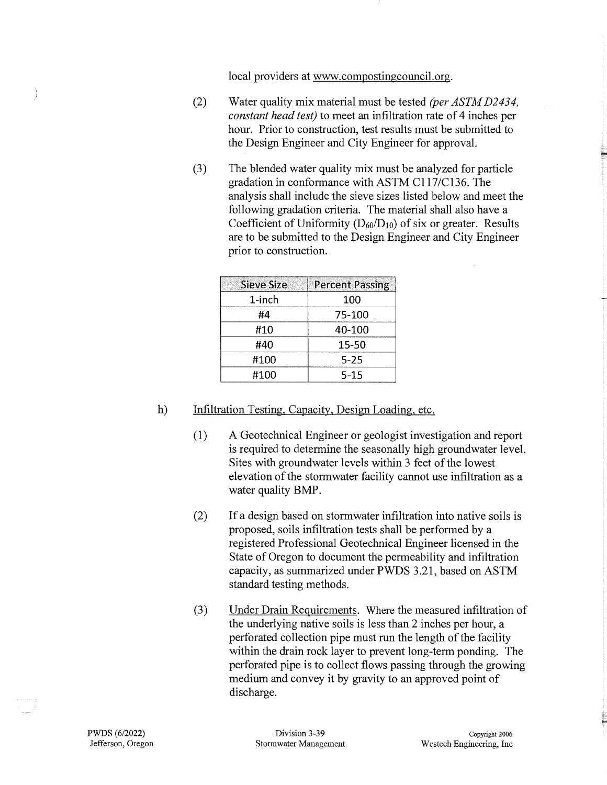local providers at www.compostingcouncil.org.

- (2) Water quality mix material must be tested *(per ASTM D2434, constant head test)* to meet an infiltration rate of 4 inches per hour. Prior to construction, test results must be submitted to the Design Engineer and City Engineer for approval.
- (3) The blended water quality mix must be analyzed for particle gradation in conformance with ASTM C117/C136. The analysis shall include the sieve sizes listed below and meet the following gradation criteria. The material shall also have a Coefficient of Uniformity  $(D_{60}/D_{10})$  of six or greater. Results are to be submitted to the Design Engineer and City Engineer prior to construction.

| <b>Sieve Size</b> | <b>Percent Passing</b> |
|-------------------|------------------------|
| 1-inch            | 100                    |
| #4                | 75-100                 |
| #10               | 40-100                 |
| #40               | 15-50                  |
| #100              | $5 - 25$               |
| #100              | 5-15                   |

- h) Infiltration Testing, Capacity, Design Loading, etc.
	- (1) A Geotechnical Engineer or geologist investigation and report is required to determine the seasonally high groundwater level. Sites with groundwater levels within 3 feet of the lowest elevation of the stormwater facility cannot use infiltration as a water quality BMP.
	- (2) If a design based on stormwater infiltration into native soils is proposed, soils infiltration tests shall be performed by a registered Professional Geotechnical Engineer licensed in the State of Oregon to document the permeability and infiltration capacity, as summarized under PWDS 3.21, based on ASTM standard testing methods.
	- (3) Under Drain Requirements. Where the measured infiltration of the underlying native soils is less than 2 inches per hour, a perforated collection pipe must run the length of the facility within the drain rock layer to prevent long-term ponding. The perforated pipe is to collect flows passing through the growing medium and convey it by gravity to an approved point of discharge.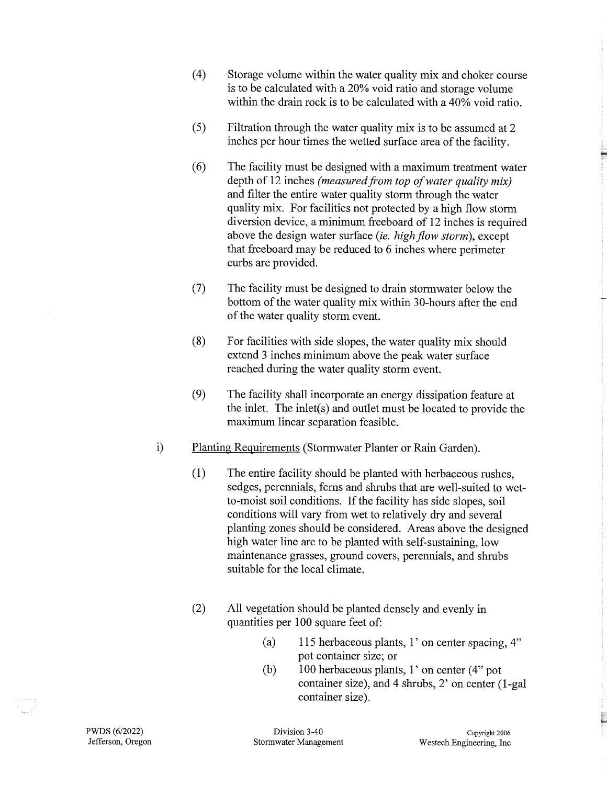- (4) Storage volume within the water quality mix and choker course is to be calculated with a 20% void ratio and storage volume within the drain rock is to be calculated with a 40% void ratio.
- (5) Filtration through the water quality mix is to be assumed at 2 inches per hour times the wetted surface area of the facility.
- ( 6) The facility must be designed with a maximum treatment water depth of 12 inches *(measured from top of water quality mix)*  and filter the entire water quality storm through the water quality mix. For facilities not protected by a high flow storm diversion device, a minimum freeboard of 12 inches is required above the design water surface *(ie. high flow storm),* excep<sup>t</sup> that freeboard may be reduced to 6 inches where perimeter curbs are provided.
- (7) The facility must be designed to drain stormwater below the bottom of the water quality mix within 30-hours after the end of the water quality storm event.
- (8) For facilities with side slopes, the water quality mix should extend 3 inches minimum above the peak water surface reached during the water quality storm event.
- (9) The facility shall incorporate an energy dissipation feature at the inlet. The inlet(s) and outlet must be located to provide the maximum linear separation feasible.
- i) Planting Requirements (Stormwater Planter or Rain Garden).
	- (1) The entire facility should be planted with herbaceous rushes, sedges, perennials, fems and shrubs that are well-suited to wetto-moist soil conditions. If the facility has side slopes, soil conditions will vary from wet to relatively dry and several <sup>p</sup>lanting zones should be considered. Areas above the designed high water line are to be planted with self-sustaining, low maintenance grasses, ground covers, perennials, and shrubs suitable for the local climate.
	- (2) All vegetation should be planted densely and evenly in quantities per 100 square feet of:
		- (a) 115 herbaceous plants, 1' on center spacing, 4" pot container size; or
		- (b)  $100$  herbaceous plants, 1' on center (4" pot container size), and 4 shrubs, 2' on center (1-gal container size).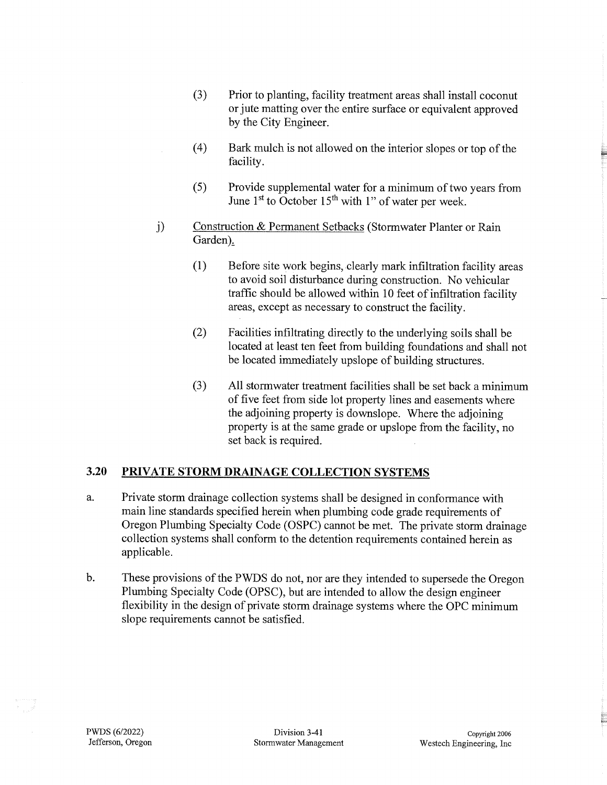- (3) Prior to planting, facility treatment areas shall install coconut or jute matting over the entire surface or equivalent approved by the City Engineer.
- (4) Bark mulch is not allowed on the interior slopes or top of the facility.
- (5) Provide supplemental water for a minimum of two years from June  $1<sup>st</sup>$  to October  $15<sup>th</sup>$  with 1" of water per week.
- j) Construction & Permanent Setbacks (Stormwater Planter or Rain Garden).
	- (1) Before site work begins, clearly mark infiltration facility areas to avoid soil disturbance during construction. No vehicular traffic should be allowed within 10 feet of infiltration facility areas, except as necessary to construct the facility.
	- (2) Facilities infiltrating directly to the underlying soils shall be located at least ten feet from building foundations and shall not be located immediately upslope of building structures.
	- (3) All stormwater treatment facilities shall be set back a minimum of five feet from side lot property lines and easements where the adjoining property is downslope. Where the adjoining property is at the same grade or upslope from the facility, no set back is required.

#### **3.20 PRIVATE STORM DRAINAGE COLLECTION SYSTEMS**

- a. Private storm drainage collection systems shall be designed in conformance with main line standards specified herein when plumbing code grade requirements of Oregon Plumbing Specialty Code (OSPC) cannot be met. The private storm drainage collection systems shall conform to the detention requirements contained herein as applicable.
- b. These provisions of the PWDS do not, nor are they intended to supersede the Oregon Plumbing Specialty Code (OPSC), but are intended to allow the design engineer flexibility in the design of private storm drainage systems where the OPC minimum slope requirements cannot be satisfied.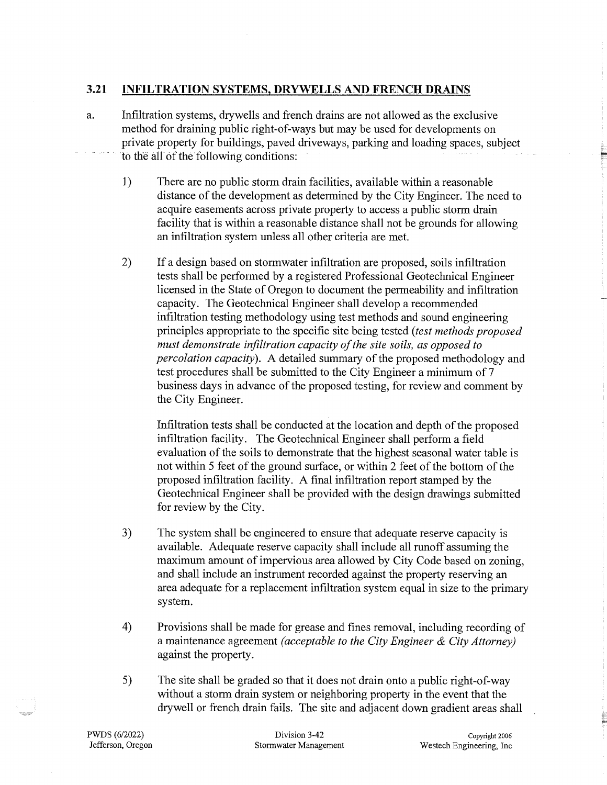# **3.21 INFILTRATION SYSTEMS, DRYWELLS AND FRENCH DRAINS**

- a. Infiltration systems, drywells and french drains are not allowed as the exclusive method for draining public right-of-ways but may be used for developments on private property for buildings, paved driveways, parking and loading spaces, subject to the all of the following conditions:
	- 1) There are no public storm drain facilities, available within a reasonable distance of the development as determined by the City Engineer. The need to acquire easements across private property to access a public storm drain facility that is within a reasonable distance shall not be grounds for allowing an infiltration system unless all other criteria are met.
	- 2) If a design based on stormwater infiltration are proposed, soils infiltration tests shall be performed by a registered Professional Geotechnical Engineer licensed in the State of Oregon to document the permeability and infiltration capacity. The Geotechnical Engineer shall develop a recommended infiltration testing methodology using test methods and sound engineering principles appropriate to the specific site being tested *(test methods proposed must demonstrate infiltration capacity of the site soils, as opposed to percolation capacity).* A detailed summary of the proposed methodology and test procedures shall be submitted to the City Engineer a minimum of 7 business days in advance of the proposed testing, for review and comment by the City Engineer.

Infiltration tests shall be conducted at the location and depth of the proposed infiltration facility. The Geotechnical Engineer shall perform a field evaluation of the soils to demonstrate that the highest seasonal water table is not within 5 feet of the ground surface, or within 2 feet of the bottom of the proposed infiltration facility. A final infiltration report stamped by the Geotechnical Engineer shall be provided with the design drawings submitted for review by the City.

- 3) The system shall be engineered to ensure that adequate reserve capacity is available. Adequate reserve capacity shall include all runoff assuming the maximum amount of impervious area allowed by City Code based on zoning, and shall include an instrument recorded against the property reserving an area adequate for a replacement infiltration system equal in size to the primary system.
- 4) Provisions shall be made for grease and fines removal, including recording of a maintenance agreement *(acceptable to the City Engineer* & *City Attorney)*  against the property.
- 5) The site shall be graded so that it does not drain onto a public right-of-way without a storm drain system or neighboring property in the event that the drywell or french drain fails. The site and adjacent down gradient areas shall

PWDS (6/2022) Jefferson, Oregon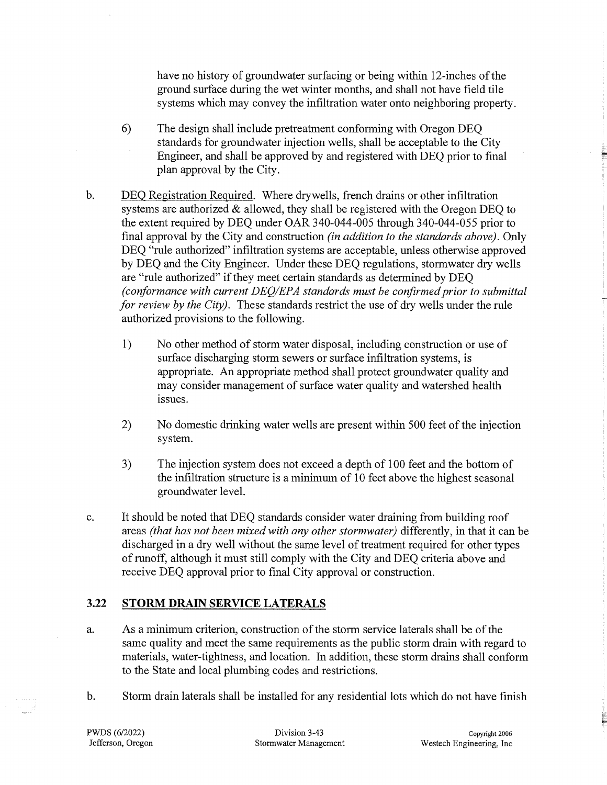have no history of groundwater surfacing or being within 12-inches of the ground surface during the wet winter months, and shall not have field tile systems which may convey the infiltration water onto neighboring property.

- 6) The design shall include pretreatment conforming with Oregon DEQ standards for groundwater injection wells, shall be acceptable to the City Engineer, and shall be approved by and registered with DEQ prior to final plan approval by the City.
- b. DEQ Registration Required. Where drywells, french drains or other infiltration systems are authorized & allowed, they shall be registered with the Oregon DEO to the extent required by DEQ under OAR 340-044-005 through 340-044-055 prior to final approval by the City and construction *(in addition to the standards above).* Only DEQ "rule authorized" infiltration systems are acceptable, unless otherwise approved by DEQ and the City Engineer. Under these DEQ regulations, stormwater dry wells are "rule authorized" if they meet certain standards as determined by DEQ *(conformance with current DEQ/EPA standards must be confirmed prior to submittal for review by the City).* These standards restrict the use of dry wells under the rule authorized provisions to the following.
	- 1) No other method of storm water disposal, including construction or use of surface discharging storm sewers or surface infiltration systems, is appropriate. An appropriate method shall protect groundwater quality and may consider management of surface water quality and watershed health issues.
	- 2) No domestic drinking water wells are present within 500 feet of the injection system.
	- 3) The injection system does not exceed a depth of 100 feet and the bottom of the infiltration structure is a minimum of 10 feet above the highest seasonal groundwater level.
- c. It should be noted that DEQ standards consider water draining from building roof areas *(that has not been mixed with any other stormwater)* differently, in that it can be discharged in a dry well without the same level of treatment required for other types of runoff, although it must still comply with the City and DEQ criteria above and receive DEQ approval prior to final City approval or construction.

#### **3.22 STORM DRAIN SERVICE LATERALS**

- a. As a minimum criterion, construction of the storm service laterals shall be of the same quality and meet the same requirements as the public storm drain with regard to materials, water-tightness, and location. In addition, these storm drains shall conform to the State and local plumbing codes and restrictions.
- b. Storm drain laterals shall be installed for any residential lots which do not have finish

PWDS (6/2022) Jefferson, Oregon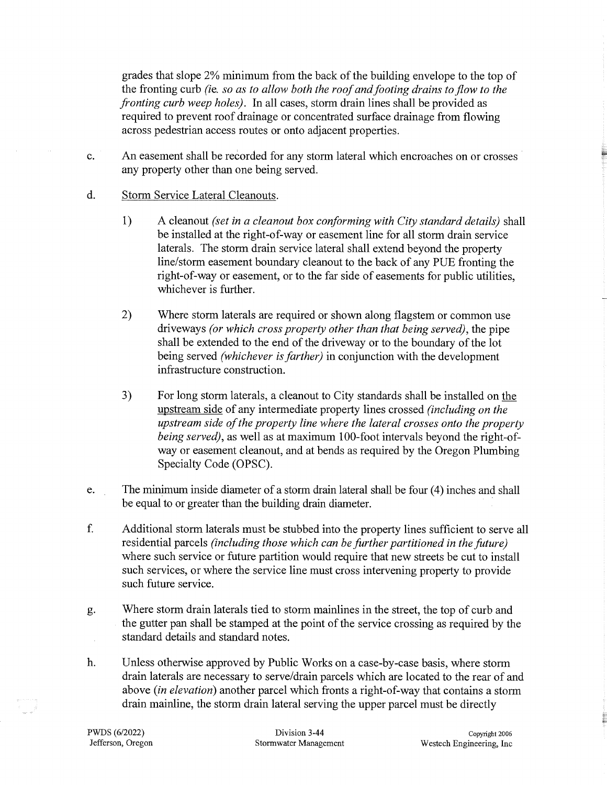grades that slope 2% minimum from the back of the building envelope to the top of the fronting curb *(ie. so as to allow both the roof and footing drains to flow to the fronting curb weep holes*). In all cases, storm drain lines shall be provided as required to prevent roof drainage or concentrated surface drainage from flowing across pedestrian access routes or onto adjacent properties.

c. An easement shall be recorded for any storm lateral which encroaches on or crosses any property other than one being served.

#### d. Storm Service Lateral Cleanouts.

- 1) A cleanout *(set in a cleanout box conforming with City standard details)* shall be installed at the right-of-way or easement line for all storm drain service laterals. The storm drain service lateral shall extend beyond the property line/storm easement boundary cleanout to the back of any PUE fronting the right-of-way or easement, or to the far side of easements for public utilities, whichever is further.
- 2) Where storm laterals are required or shown along flagstem or common use driveways *(or which cross property other than that being served),* the pipe shall be extended to the end of the driveway or to the boundary of the lot being served *(whichever is farther)* in conjunction with the development infrastructure construction.
- 3) For long storm laterals, a cleanout to City standards shall be installed on the upstream side of any intermediate property lines crossed *(including on the upstream side of the property line where the lateral crosses onto the property being served),* as well as at maximum 100-foot intervals beyond the right-ofway or easement cleanout, and at bends as required by the Oregon Plumbing Specialty Code (OPSC).
- e. The minimum inside diameter of a storm drain lateral shall be four ( 4) inches and shall be equal to or greater than the building drain diameter.
- f. Additional storm laterals must be stubbed into the property lines sufficient to serve all residential parcels *(including those which can be further partitioned in the future)*  where such service or future partition would require that new streets be cut to install such services, or where the service line must cross intervening property to provide such future service.
- g. Where storm drain laterals tied to storm mainlines in the street, the top of curb and the gutter pan shall be stamped at the point of the service crossing as required by the standard details and standard notes.
- h. Unless otherwise approved by Public Works on a case-by-case basis, where storm drain laterals are necessary to serve/drain parcels which are located to the rear of and above *(in elevation)* another parcel which fronts a right-of-way that contains a storm drain mainline, the storm drain lateral serving the upper parcel must be directly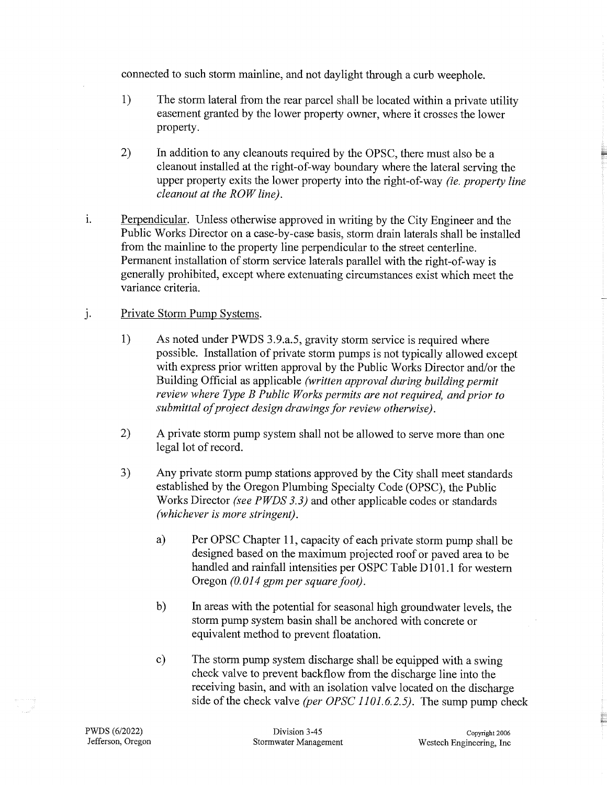connected to such storm mainline, and not daylight through a curb weephole.

- 1) The storm lateral from the rear parcel shall be located within a private utility easement granted by the lower property owner, where it crosses the lower property.
- 2) In addition to any cleanouts required by the OPSC, there must also be a cleanout installed at the right-of-way boundary where the lateral serving the upper property exits the lower property into the right-of-way *(ie. property line cleanout at the ROW line).*
- 1. Perpendicular. Unless otherwise approved in writing by the City Engineer and the Public Works Director on a case-by-case basis, storm drain laterals shall be installed from the mainline to the property line perpendicular to the street centerline. Permanent installation of storm service laterals parallel with the right-of-way is generally prohibited, except where extenuating circumstances exist which meet the variance criteria.

#### j. Private Storm Pump Systems.

- 1) As noted under PWDS 3.9.a.5, gravity storm service is required where possible. Installation of private storm pumps is not typically allowed except with express prior written approval by the Public Works Director and/or the Building Official as applicable *(written approval during building permit review where Type B Public Works permits are not required, and prior to submittal of project design drawings for review otherwise).*
- 2) A private storm pump system shall not be allowed to serve more than one legal lot of record.
- 3) Any private storm pump stations approved by the City shall meet standards established by the Oregon Plumbing Specialty Code (OPSC), the Public Works Director *(see PWDS 3.3)* and other applicable codes or standards *(whichever is more stringent).* 
	- a) Per OPSC Chapter 11, capacity of each private storm pump shall be designed based on the maximum projected roof or paved area to be handled and rainfall intensities per OSPC Table D101.1 for western Oregon *(0. 014 gpm per square foot).*
	- b) In areas with the potential for seasonal high groundwater levels, the storm pump system basin shall be anchored with concrete or equivalent method to prevent floatation.
	- c) The storm pump system discharge shall be equipped with a swing check valve to prevent backflow from the discharge line into the receiving basin, and with an isolation valve located on the discharge side of the check valve *(per OPSC 1101.6.2.5).* The sump pump check